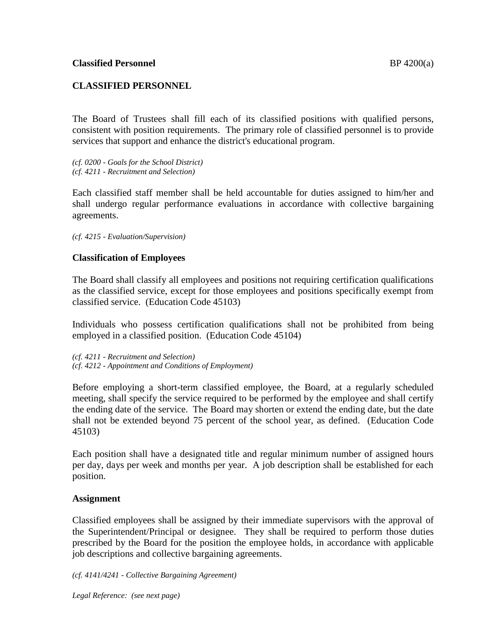## **CLASSIFIED PERSONNEL**

The Board of Trustees shall fill each of its classified positions with qualified persons, consistent with position requirements. The primary role of classified personnel is to provide services that support and enhance the district's educational program.

*(cf. 0200 - Goals for the School District) (cf. 4211 - Recruitment and Selection)*

Each classified staff member shall be held accountable for duties assigned to him/her and shall undergo regular performance evaluations in accordance with collective bargaining agreements.

*(cf. 4215 - Evaluation/Supervision)*

## **Classification of Employees**

The Board shall classify all employees and positions not requiring certification qualifications as the classified service, except for those employees and positions specifically exempt from classified service. (Education Code 45103)

Individuals who possess certification qualifications shall not be prohibited from being employed in a classified position. (Education Code 45104)

*(cf. 4211 - Recruitment and Selection) (cf. 4212 - Appointment and Conditions of Employment)*

Before employing a short-term classified employee, the Board, at a regularly scheduled meeting, shall specify the service required to be performed by the employee and shall certify the ending date of the service. The Board may shorten or extend the ending date, but the date shall not be extended beyond 75 percent of the school year, as defined. (Education Code 45103)

Each position shall have a designated title and regular minimum number of assigned hours per day, days per week and months per year. A job description shall be established for each position.

### **Assignment**

Classified employees shall be assigned by their immediate supervisors with the approval of the Superintendent/Principal or designee. They shall be required to perform those duties prescribed by the Board for the position the employee holds, in accordance with applicable job descriptions and collective bargaining agreements.

*(cf. 4141/4241 - Collective Bargaining Agreement)*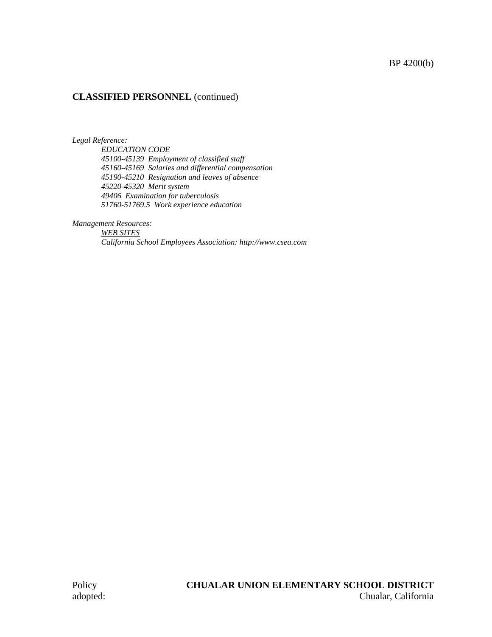### BP 4200(b)

#### **CLASSIFIED PERSONNEL** (continued)

*Legal Reference:*

*EDUCATION CODE 45100-45139 Employment of classified staff 45160-45169 Salaries and differential compensation 45190-45210 Resignation and leaves of absence 45220-45320 Merit system 49406 Examination for tuberculosis 51760-51769.5 Work experience education*

*Management Resources:*

*WEB SITES California School Employees Association: http://www.csea.com*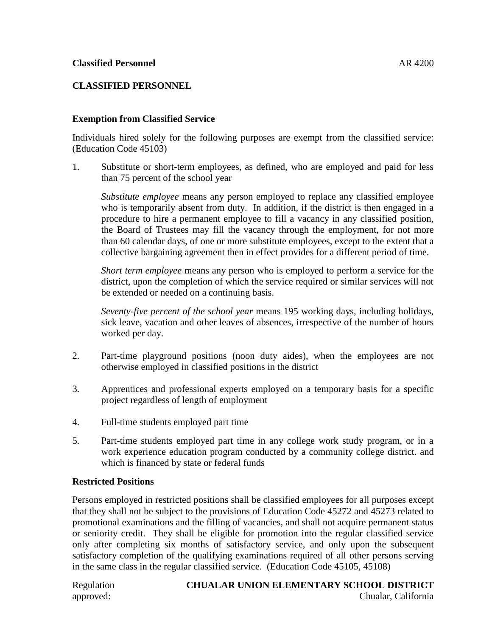## **CLASSIFIED PERSONNEL**

## **Exemption from Classified Service**

Individuals hired solely for the following purposes are exempt from the classified service: (Education Code 45103)

1. Substitute or short-term employees, as defined, who are employed and paid for less than 75 percent of the school year

*Substitute employee* means any person employed to replace any classified employee who is temporarily absent from duty. In addition, if the district is then engaged in a procedure to hire a permanent employee to fill a vacancy in any classified position, the Board of Trustees may fill the vacancy through the employment, for not more than 60 calendar days, of one or more substitute employees, except to the extent that a collective bargaining agreement then in effect provides for a different period of time.

*Short term employee* means any person who is employed to perform a service for the district, upon the completion of which the service required or similar services will not be extended or needed on a continuing basis.

*Seventy-five percent of the school year* means 195 working days, including holidays, sick leave, vacation and other leaves of absences, irrespective of the number of hours worked per day.

- 2. Part-time playground positions (noon duty aides), when the employees are not otherwise employed in classified positions in the district
- 3. Apprentices and professional experts employed on a temporary basis for a specific project regardless of length of employment
- 4. Full-time students employed part time
- 5. Part-time students employed part time in any college work study program, or in a work experience education program conducted by a community college district. and which is financed by state or federal funds

### **Restricted Positions**

Persons employed in restricted positions shall be classified employees for all purposes except that they shall not be subject to the provisions of Education Code 45272 and 45273 related to promotional examinations and the filling of vacancies, and shall not acquire permanent status or seniority credit. They shall be eligible for promotion into the regular classified service only after completing six months of satisfactory service, and only upon the subsequent satisfactory completion of the qualifying examinations required of all other persons serving in the same class in the regular classified service. (Education Code 45105, 45108)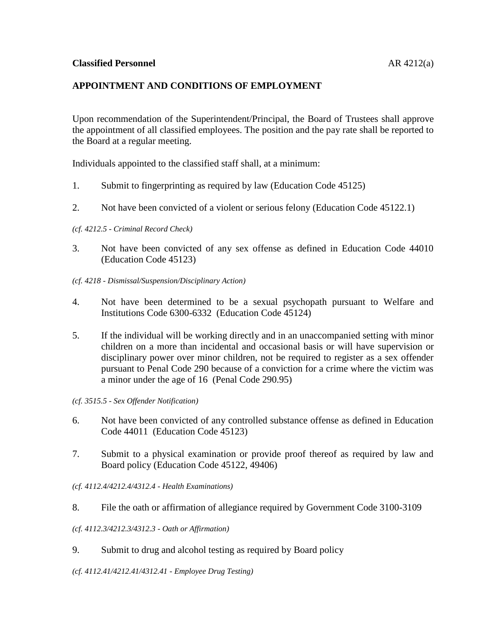## **APPOINTMENT AND CONDITIONS OF EMPLOYMENT**

Upon recommendation of the Superintendent/Principal, the Board of Trustees shall approve the appointment of all classified employees. The position and the pay rate shall be reported to the Board at a regular meeting.

Individuals appointed to the classified staff shall, at a minimum:

- 1. Submit to fingerprinting as required by law (Education Code 45125)
- 2. Not have been convicted of a violent or serious felony (Education Code 45122.1)

#### *(cf. 4212.5 - Criminal Record Check)*

- 3. Not have been convicted of any sex offense as defined in Education Code 44010 (Education Code 45123)
- *(cf. 4218 - Dismissal/Suspension/Disciplinary Action)*
- 4. Not have been determined to be a sexual psychopath pursuant to Welfare and Institutions Code 6300-6332 (Education Code 45124)
- 5. If the individual will be working directly and in an unaccompanied setting with minor children on a more than incidental and occasional basis or will have supervision or disciplinary power over minor children, not be required to register as a sex offender pursuant to Penal Code 290 because of a conviction for a crime where the victim was a minor under the age of 16 (Penal Code 290.95)

*(cf. 3515.5 - Sex Offender Notification)*

- 6. Not have been convicted of any controlled substance offense as defined in Education Code 44011 (Education Code 45123)
- 7. Submit to a physical examination or provide proof thereof as required by law and Board policy (Education Code 45122, 49406)
- *(cf. 4112.4/4212.4/4312.4 - Health Examinations)*
- 8. File the oath or affirmation of allegiance required by Government Code 3100-3109
- *(cf. 4112.3/4212.3/4312.3 - Oath or Affirmation)*
- 9. Submit to drug and alcohol testing as required by Board policy

*(cf. 4112.41/4212.41/4312.41 - Employee Drug Testing)*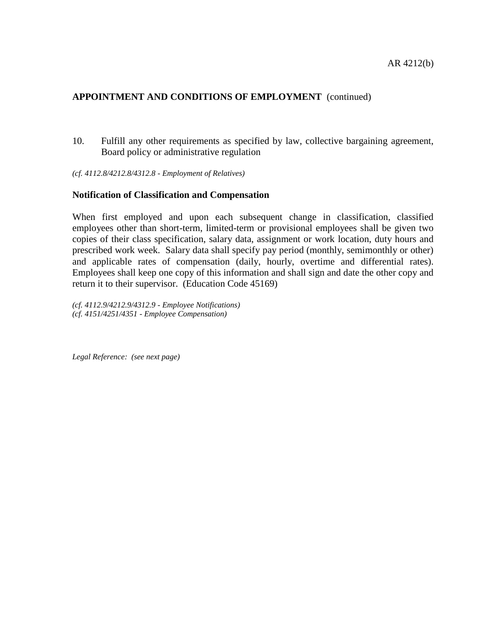### **APPOINTMENT AND CONDITIONS OF EMPLOYMENT** (continued)

10. Fulfill any other requirements as specified by law, collective bargaining agreement, Board policy or administrative regulation

*(cf. 4112.8/4212.8/4312.8 - Employment of Relatives)*

#### **Notification of Classification and Compensation**

When first employed and upon each subsequent change in classification, classified employees other than short-term, limited-term or provisional employees shall be given two copies of their class specification, salary data, assignment or work location, duty hours and prescribed work week. Salary data shall specify pay period (monthly, semimonthly or other) and applicable rates of compensation (daily, hourly, overtime and differential rates). Employees shall keep one copy of this information and shall sign and date the other copy and return it to their supervisor. (Education Code 45169)

*(cf. 4112.9/4212.9/4312.9 - Employee Notifications) (cf. 4151/4251/4351 - Employee Compensation)*

*Legal Reference: (see next page)*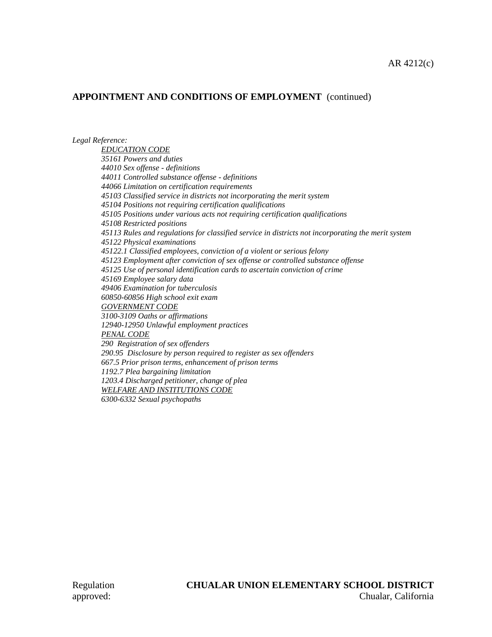### **APPOINTMENT AND CONDITIONS OF EMPLOYMENT** (continued)

*Legal Reference:*

*EDUCATION CODE 35161 Powers and duties 44010 Sex offense - definitions 44011 Controlled substance offense - definitions 44066 Limitation on certification requirements 45103 Classified service in districts not incorporating the merit system 45104 Positions not requiring certification qualifications 45105 Positions under various acts not requiring certification qualifications 45108 Restricted positions 45113 Rules and regulations for classified service in districts not incorporating the merit system 45122 Physical examinations 45122.1 Classified employees, conviction of a violent or serious felony 45123 Employment after conviction of sex offense or controlled substance offense 45125 Use of personal identification cards to ascertain conviction of crime 45169 Employee salary data 49406 Examination for tuberculosis 60850-60856 High school exit exam GOVERNMENT CODE 3100-3109 Oaths or affirmations 12940-12950 Unlawful employment practices PENAL CODE 290 Registration of sex offenders 290.95 Disclosure by person required to register as sex offenders 667.5 Prior prison terms, enhancement of prison terms 1192.7 Plea bargaining limitation 1203.4 Discharged petitioner, change of plea WELFARE AND INSTITUTIONS CODE*

*6300-6332 Sexual psychopaths*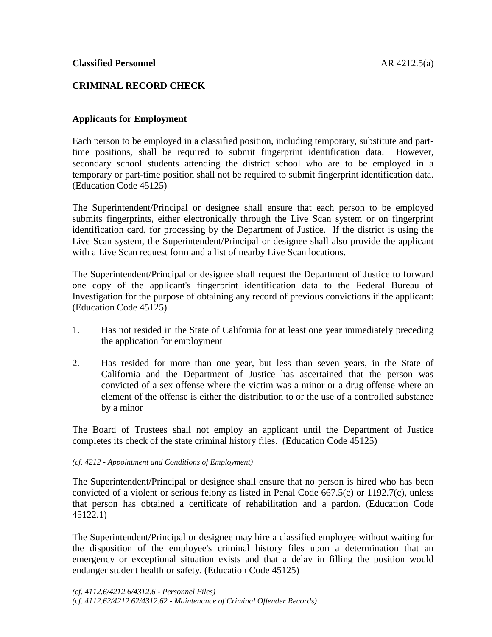## **CRIMINAL RECORD CHECK**

## **Applicants for Employment**

Each person to be employed in a classified position, including temporary, substitute and parttime positions, shall be required to submit fingerprint identification data. However, secondary school students attending the district school who are to be employed in a temporary or part-time position shall not be required to submit fingerprint identification data. (Education Code 45125)

The Superintendent/Principal or designee shall ensure that each person to be employed submits fingerprints, either electronically through the Live Scan system or on fingerprint identification card, for processing by the Department of Justice. If the district is using the Live Scan system, the Superintendent/Principal or designee shall also provide the applicant with a Live Scan request form and a list of nearby Live Scan locations.

The Superintendent/Principal or designee shall request the Department of Justice to forward one copy of the applicant's fingerprint identification data to the Federal Bureau of Investigation for the purpose of obtaining any record of previous convictions if the applicant: (Education Code 45125)

- 1. Has not resided in the State of California for at least one year immediately preceding the application for employment
- 2. Has resided for more than one year, but less than seven years, in the State of California and the Department of Justice has ascertained that the person was convicted of a sex offense where the victim was a minor or a drug offense where an element of the offense is either the distribution to or the use of a controlled substance by a minor

The Board of Trustees shall not employ an applicant until the Department of Justice completes its check of the state criminal history files. (Education Code 45125)

#### *(cf. 4212 - Appointment and Conditions of Employment)*

The Superintendent/Principal or designee shall ensure that no person is hired who has been convicted of a violent or serious felony as listed in Penal Code 667.5(c) or 1192.7(c), unless that person has obtained a certificate of rehabilitation and a pardon. (Education Code 45122.1)

The Superintendent/Principal or designee may hire a classified employee without waiting for the disposition of the employee's criminal history files upon a determination that an emergency or exceptional situation exists and that a delay in filling the position would endanger student health or safety. (Education Code 45125)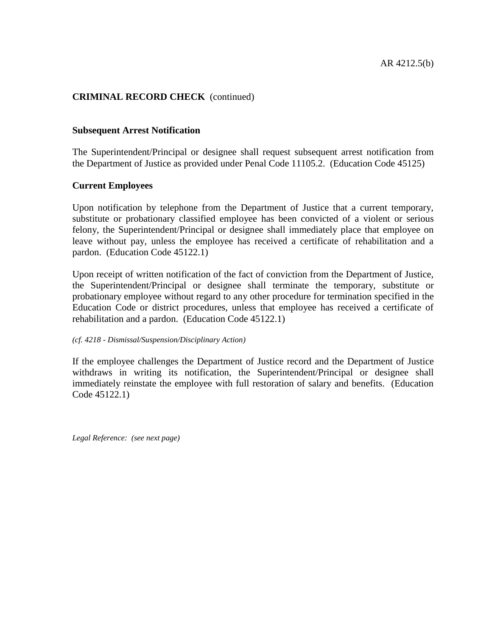## **CRIMINAL RECORD CHECK** (continued)

#### **Subsequent Arrest Notification**

The Superintendent/Principal or designee shall request subsequent arrest notification from the Department of Justice as provided under Penal Code 11105.2. (Education Code 45125)

### **Current Employees**

Upon notification by telephone from the Department of Justice that a current temporary, substitute or probationary classified employee has been convicted of a violent or serious felony, the Superintendent/Principal or designee shall immediately place that employee on leave without pay, unless the employee has received a certificate of rehabilitation and a pardon. (Education Code 45122.1)

Upon receipt of written notification of the fact of conviction from the Department of Justice, the Superintendent/Principal or designee shall terminate the temporary, substitute or probationary employee without regard to any other procedure for termination specified in the Education Code or district procedures, unless that employee has received a certificate of rehabilitation and a pardon. (Education Code 45122.1)

#### *(cf. 4218 - Dismissal/Suspension/Disciplinary Action)*

If the employee challenges the Department of Justice record and the Department of Justice withdraws in writing its notification, the Superintendent/Principal or designee shall immediately reinstate the employee with full restoration of salary and benefits. (Education Code 45122.1)

*Legal Reference: (see next page)*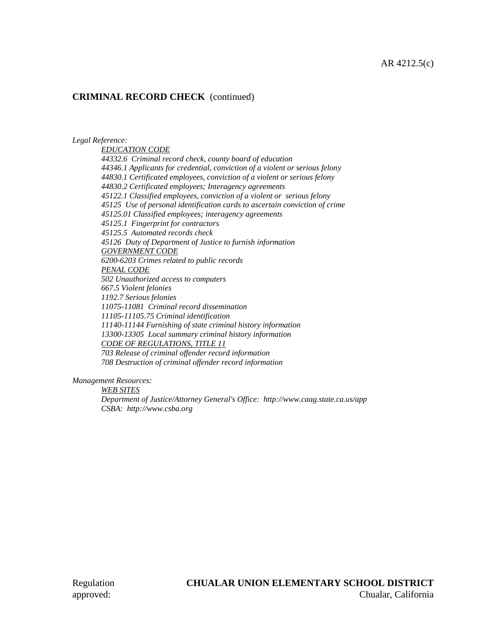## **CRIMINAL RECORD CHECK** (continued)

*Legal Reference:*

*EDUCATION CODE 44332.6 Criminal record check, county board of education 44346.1 Applicants for credential, conviction of a violent or serious felony 44830.1 Certificated employees, conviction of a violent or serious felony 44830.2 Certificated employees; Interagency agreements 45122.1 Classified employees, conviction of a violent or serious felony 45125 Use of personal identification cards to ascertain conviction of crime 45125.01 Classified employees; interagency agreements 45125.1 Fingerprint for contractors 45125.5 Automated records check 45126 Duty of Department of Justice to furnish information GOVERNMENT CODE 6200-6203 Crimes related to public records PENAL CODE 502 Unauthorized access to computers 667.5 Violent felonies 1192.7 Serious felonies 11075-11081 Criminal record dissemination 11105-11105.75 Criminal identification 11140-11144 Furnishing of state criminal history information 13300-13305 Local summary criminal history information CODE OF REGULATIONS, TITLE 11 703 Release of criminal offender record information 708 Destruction of criminal offender record information*

*Management Resources:*

*WEB SITES*

*Department of Justice/Attorney General's Office: http://www.caag.state.ca.us/app CSBA: http://www.csba.org*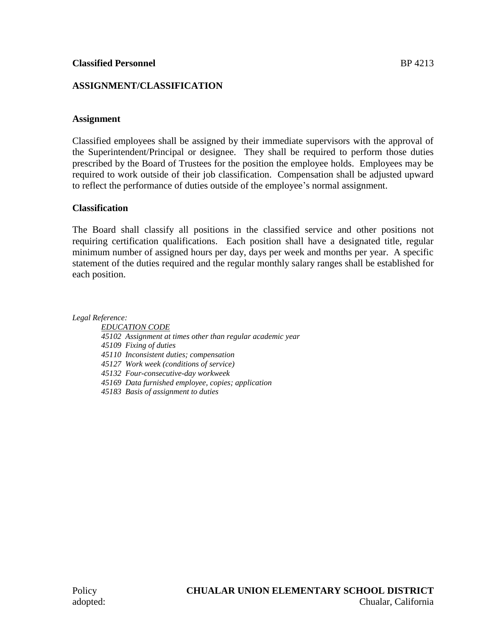## **ASSIGNMENT/CLASSIFICATION**

## **Assignment**

Classified employees shall be assigned by their immediate supervisors with the approval of the Superintendent/Principal or designee. They shall be required to perform those duties prescribed by the Board of Trustees for the position the employee holds. Employees may be required to work outside of their job classification. Compensation shall be adjusted upward to reflect the performance of duties outside of the employee's normal assignment.

## **Classification**

The Board shall classify all positions in the classified service and other positions not requiring certification qualifications. Each position shall have a designated title, regular minimum number of assigned hours per day, days per week and months per year. A specific statement of the duties required and the regular monthly salary ranges shall be established for each position.

*Legal Reference:*

*EDUCATION CODE 45102 Assignment at times other than regular academic year 45109 Fixing of duties 45110 Inconsistent duties; compensation 45127 Work week (conditions of service) 45132 Four-consecutive-day workweek 45169 Data furnished employee, copies; application 45183 Basis of assignment to duties*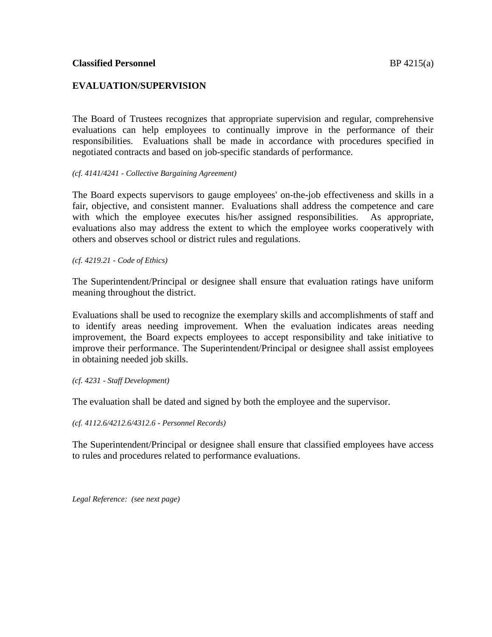## **EVALUATION/SUPERVISION**

The Board of Trustees recognizes that appropriate supervision and regular, comprehensive evaluations can help employees to continually improve in the performance of their responsibilities. Evaluations shall be made in accordance with procedures specified in negotiated contracts and based on job-specific standards of performance.

#### *(cf. 4141/4241 - Collective Bargaining Agreement)*

The Board expects supervisors to gauge employees' on-the-job effectiveness and skills in a fair, objective, and consistent manner. Evaluations shall address the competence and care with which the employee executes his/her assigned responsibilities. As appropriate, evaluations also may address the extent to which the employee works cooperatively with others and observes school or district rules and regulations.

*(cf. 4219.21 - Code of Ethics)*

The Superintendent/Principal or designee shall ensure that evaluation ratings have uniform meaning throughout the district.

Evaluations shall be used to recognize the exemplary skills and accomplishments of staff and to identify areas needing improvement. When the evaluation indicates areas needing improvement, the Board expects employees to accept responsibility and take initiative to improve their performance. The Superintendent/Principal or designee shall assist employees in obtaining needed job skills.

*(cf. 4231 - Staff Development)*

The evaluation shall be dated and signed by both the employee and the supervisor.

*(cf. 4112.6/4212.6/4312.6 - Personnel Records)*

The Superintendent/Principal or designee shall ensure that classified employees have access to rules and procedures related to performance evaluations.

*Legal Reference: (see next page)*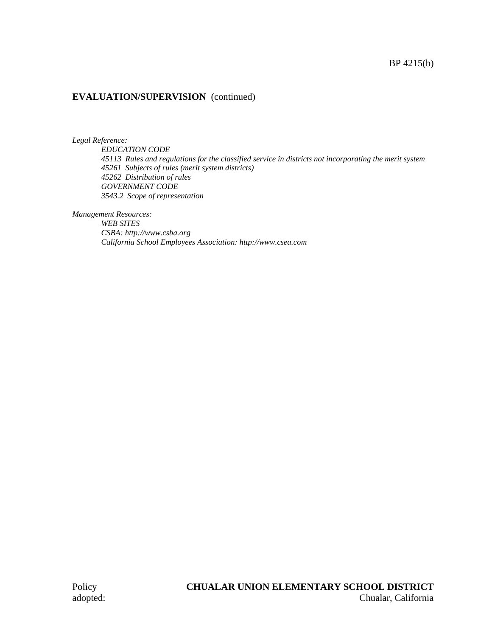## **EVALUATION/SUPERVISION** (continued)

*Legal Reference:*

*EDUCATION CODE 45113 Rules and regulations for the classified service in districts not incorporating the merit system 45261 Subjects of rules (merit system districts) 45262 Distribution of rules GOVERNMENT CODE 3543.2 Scope of representation*

*Management Resources:*

*WEB SITES CSBA: http://www.csba.org California School Employees Association: http://www.csea.com*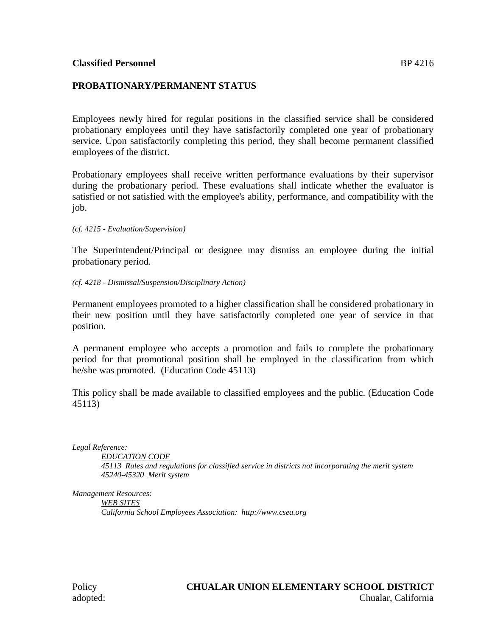## **PROBATIONARY/PERMANENT STATUS**

Employees newly hired for regular positions in the classified service shall be considered probationary employees until they have satisfactorily completed one year of probationary service. Upon satisfactorily completing this period, they shall become permanent classified employees of the district.

Probationary employees shall receive written performance evaluations by their supervisor during the probationary period. These evaluations shall indicate whether the evaluator is satisfied or not satisfied with the employee's ability, performance, and compatibility with the job.

*(cf. 4215 - Evaluation/Supervision)*

The Superintendent/Principal or designee may dismiss an employee during the initial probationary period.

*(cf. 4218 - Dismissal/Suspension/Disciplinary Action)*

Permanent employees promoted to a higher classification shall be considered probationary in their new position until they have satisfactorily completed one year of service in that position.

A permanent employee who accepts a promotion and fails to complete the probationary period for that promotional position shall be employed in the classification from which he/she was promoted. (Education Code 45113)

This policy shall be made available to classified employees and the public. (Education Code 45113)

*Legal Reference:*

*EDUCATION CODE*

*45113 Rules and regulations for classified service in districts not incorporating the merit system 45240-45320 Merit system*

*Management Resources:*

*WEB SITES California School Employees Association: http://www.csea.org*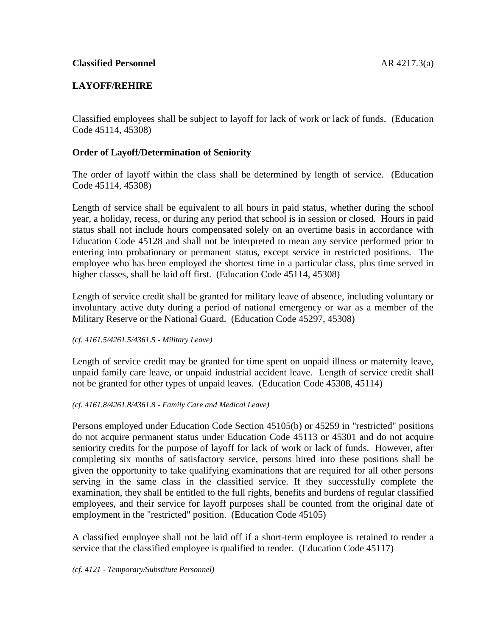## **LAYOFF/REHIRE**

Classified employees shall be subject to layoff for lack of work or lack of funds. (Education Code 45114, 45308)

## **Order of Layoff/Determination of Seniority**

The order of layoff within the class shall be determined by length of service. (Education Code 45114, 45308)

Length of service shall be equivalent to all hours in paid status, whether during the school year, a holiday, recess, or during any period that school is in session or closed. Hours in paid status shall not include hours compensated solely on an overtime basis in accordance with Education Code 45128 and shall not be interpreted to mean any service performed prior to entering into probationary or permanent status, except service in restricted positions. The employee who has been employed the shortest time in a particular class, plus time served in higher classes, shall be laid off first. (Education Code 45114, 45308)

Length of service credit shall be granted for military leave of absence, including voluntary or involuntary active duty during a period of national emergency or war as a member of the Military Reserve or the National Guard. (Education Code 45297, 45308)

*(cf. 4161.5/4261.5/4361.5 - Military Leave)*

Length of service credit may be granted for time spent on unpaid illness or maternity leave, unpaid family care leave, or unpaid industrial accident leave. Length of service credit shall not be granted for other types of unpaid leaves. (Education Code 45308, 45114)

#### *(cf. 4161.8/4261.8/4361.8 - Family Care and Medical Leave)*

Persons employed under Education Code Section 45105(b) or 45259 in "restricted" positions do not acquire permanent status under Education Code 45113 or 45301 and do not acquire seniority credits for the purpose of layoff for lack of work or lack of funds. However, after completing six months of satisfactory service, persons hired into these positions shall be given the opportunity to take qualifying examinations that are required for all other persons serving in the same class in the classified service. If they successfully complete the examination, they shall be entitled to the full rights, benefits and burdens of regular classified employees, and their service for layoff purposes shall be counted from the original date of employment in the "restricted" position. (Education Code 45105)

A classified employee shall not be laid off if a short-term employee is retained to render a service that the classified employee is qualified to render. (Education Code 45117)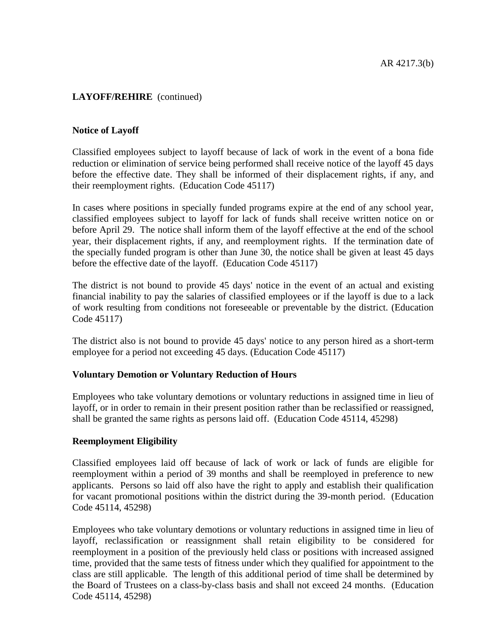## **LAYOFF/REHIRE** (continued)

### **Notice of Layoff**

Classified employees subject to layoff because of lack of work in the event of a bona fide reduction or elimination of service being performed shall receive notice of the layoff 45 days before the effective date. They shall be informed of their displacement rights, if any, and their reemployment rights. (Education Code 45117)

In cases where positions in specially funded programs expire at the end of any school year, classified employees subject to layoff for lack of funds shall receive written notice on or before April 29. The notice shall inform them of the layoff effective at the end of the school year, their displacement rights, if any, and reemployment rights. If the termination date of the specially funded program is other than June 30, the notice shall be given at least 45 days before the effective date of the layoff. (Education Code 45117)

The district is not bound to provide 45 days' notice in the event of an actual and existing financial inability to pay the salaries of classified employees or if the layoff is due to a lack of work resulting from conditions not foreseeable or preventable by the district. (Education Code 45117)

The district also is not bound to provide 45 days' notice to any person hired as a short-term employee for a period not exceeding 45 days. (Education Code 45117)

### **Voluntary Demotion or Voluntary Reduction of Hours**

Employees who take voluntary demotions or voluntary reductions in assigned time in lieu of layoff, or in order to remain in their present position rather than be reclassified or reassigned, shall be granted the same rights as persons laid off. (Education Code 45114, 45298)

### **Reemployment Eligibility**

Classified employees laid off because of lack of work or lack of funds are eligible for reemployment within a period of 39 months and shall be reemployed in preference to new applicants. Persons so laid off also have the right to apply and establish their qualification for vacant promotional positions within the district during the 39-month period. (Education Code 45114, 45298)

Employees who take voluntary demotions or voluntary reductions in assigned time in lieu of layoff, reclassification or reassignment shall retain eligibility to be considered for reemployment in a position of the previously held class or positions with increased assigned time, provided that the same tests of fitness under which they qualified for appointment to the class are still applicable. The length of this additional period of time shall be determined by the Board of Trustees on a class-by-class basis and shall not exceed 24 months. (Education Code 45114, 45298)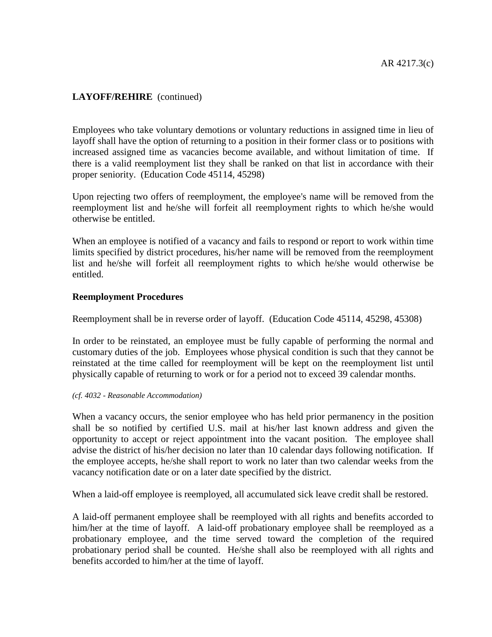## **LAYOFF/REHIRE** (continued)

Employees who take voluntary demotions or voluntary reductions in assigned time in lieu of layoff shall have the option of returning to a position in their former class or to positions with increased assigned time as vacancies become available, and without limitation of time. If there is a valid reemployment list they shall be ranked on that list in accordance with their proper seniority. (Education Code 45114, 45298)

Upon rejecting two offers of reemployment, the employee's name will be removed from the reemployment list and he/she will forfeit all reemployment rights to which he/she would otherwise be entitled.

When an employee is notified of a vacancy and fails to respond or report to work within time limits specified by district procedures, his/her name will be removed from the reemployment list and he/she will forfeit all reemployment rights to which he/she would otherwise be entitled.

### **Reemployment Procedures**

Reemployment shall be in reverse order of layoff. (Education Code 45114, 45298, 45308)

In order to be reinstated, an employee must be fully capable of performing the normal and customary duties of the job. Employees whose physical condition is such that they cannot be reinstated at the time called for reemployment will be kept on the reemployment list until physically capable of returning to work or for a period not to exceed 39 calendar months.

#### *(cf. 4032 - Reasonable Accommodation)*

When a vacancy occurs, the senior employee who has held prior permanency in the position shall be so notified by certified U.S. mail at his/her last known address and given the opportunity to accept or reject appointment into the vacant position. The employee shall advise the district of his/her decision no later than 10 calendar days following notification. If the employee accepts, he/she shall report to work no later than two calendar weeks from the vacancy notification date or on a later date specified by the district.

When a laid-off employee is reemployed, all accumulated sick leave credit shall be restored.

A laid-off permanent employee shall be reemployed with all rights and benefits accorded to him/her at the time of layoff. A laid-off probationary employee shall be reemployed as a probationary employee, and the time served toward the completion of the required probationary period shall be counted. He/she shall also be reemployed with all rights and benefits accorded to him/her at the time of layoff.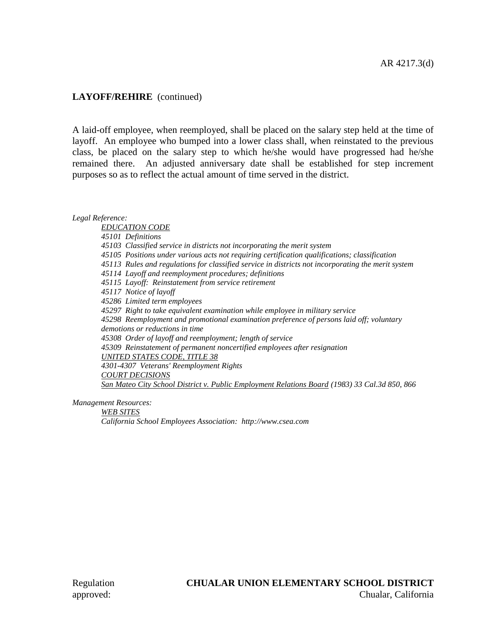### **LAYOFF/REHIRE** (continued)

A laid-off employee, when reemployed, shall be placed on the salary step held at the time of layoff. An employee who bumped into a lower class shall, when reinstated to the previous class, be placed on the salary step to which he/she would have progressed had he/she remained there. An adjusted anniversary date shall be established for step increment purposes so as to reflect the actual amount of time served in the district.

*Legal Reference:*

*EDUCATION CODE 45101 Definitions 45103 Classified service in districts not incorporating the merit system 45105 Positions under various acts not requiring certification qualifications; classification 45113 Rules and regulations for classified service in districts not incorporating the merit system 45114 Layoff and reemployment procedures; definitions 45115 Layoff: Reinstatement from service retirement 45117 Notice of layoff 45286 Limited term employees 45297 Right to take equivalent examination while employee in military service 45298 Reemployment and promotional examination preference of persons laid off; voluntary demotions or reductions in time 45308 Order of layoff and reemployment; length of service 45309 Reinstatement of permanent noncertified employees after resignation UNITED STATES CODE, TITLE 38 4301-4307 Veterans' Reemployment Rights COURT DECISIONS San Mateo City School District v. Public Employment Relations Board (1983) 33 Cal.3d 850, 866*

*Management Resources:*

*WEB SITES*

*California School Employees Association: http://www.csea.com*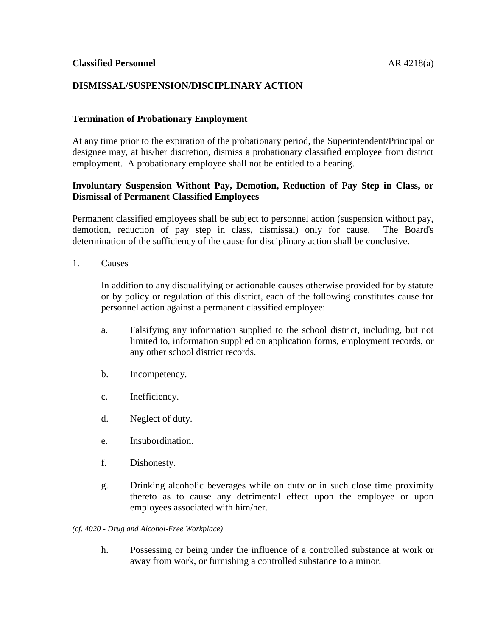### **DISMISSAL/SUSPENSION/DISCIPLINARY ACTION**

#### **Termination of Probationary Employment**

At any time prior to the expiration of the probationary period, the Superintendent/Principal or designee may, at his/her discretion, dismiss a probationary classified employee from district employment. A probationary employee shall not be entitled to a hearing.

## **Involuntary Suspension Without Pay, Demotion, Reduction of Pay Step in Class, or Dismissal of Permanent Classified Employees**

Permanent classified employees shall be subject to personnel action (suspension without pay, demotion, reduction of pay step in class, dismissal) only for cause. The Board's determination of the sufficiency of the cause for disciplinary action shall be conclusive.

1. Causes

In addition to any disqualifying or actionable causes otherwise provided for by statute or by policy or regulation of this district, each of the following constitutes cause for personnel action against a permanent classified employee:

- a. Falsifying any information supplied to the school district, including, but not limited to, information supplied on application forms, employment records, or any other school district records.
- b. Incompetency.
- c. Inefficiency.
- d. Neglect of duty.
- e. Insubordination.
- f. Dishonesty.
- g. Drinking alcoholic beverages while on duty or in such close time proximity thereto as to cause any detrimental effect upon the employee or upon employees associated with him/her.

*(cf. 4020 - Drug and Alcohol-Free Workplace)*

h. Possessing or being under the influence of a controlled substance at work or away from work, or furnishing a controlled substance to a minor.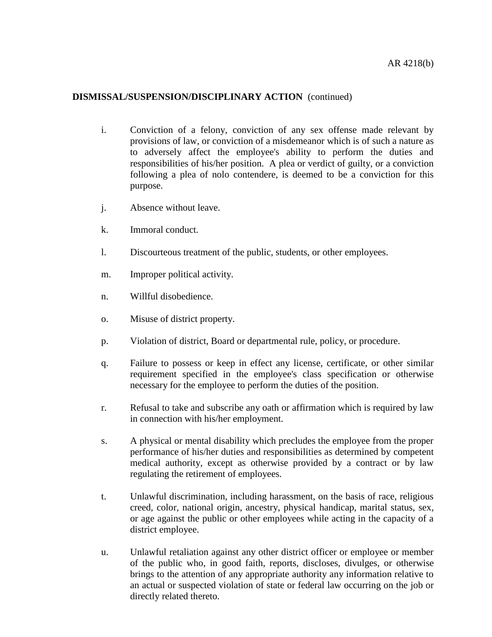- i. Conviction of a felony, conviction of any sex offense made relevant by provisions of law, or conviction of a misdemeanor which is of such a nature as to adversely affect the employee's ability to perform the duties and responsibilities of his/her position. A plea or verdict of guilty, or a conviction following a plea of nolo contendere, is deemed to be a conviction for this purpose.
- j. Absence without leave.
- k. Immoral conduct.
- l. Discourteous treatment of the public, students, or other employees.
- m. Improper political activity.
- n. Willful disobedience.
- o. Misuse of district property.
- p. Violation of district, Board or departmental rule, policy, or procedure.
- q. Failure to possess or keep in effect any license, certificate, or other similar requirement specified in the employee's class specification or otherwise necessary for the employee to perform the duties of the position.
- r. Refusal to take and subscribe any oath or affirmation which is required by law in connection with his/her employment.
- s. A physical or mental disability which precludes the employee from the proper performance of his/her duties and responsibilities as determined by competent medical authority, except as otherwise provided by a contract or by law regulating the retirement of employees.
- t. Unlawful discrimination, including harassment, on the basis of race, religious creed, color, national origin, ancestry, physical handicap, marital status, sex, or age against the public or other employees while acting in the capacity of a district employee.
- u. Unlawful retaliation against any other district officer or employee or member of the public who, in good faith, reports, discloses, divulges, or otherwise brings to the attention of any appropriate authority any information relative to an actual or suspected violation of state or federal law occurring on the job or directly related thereto.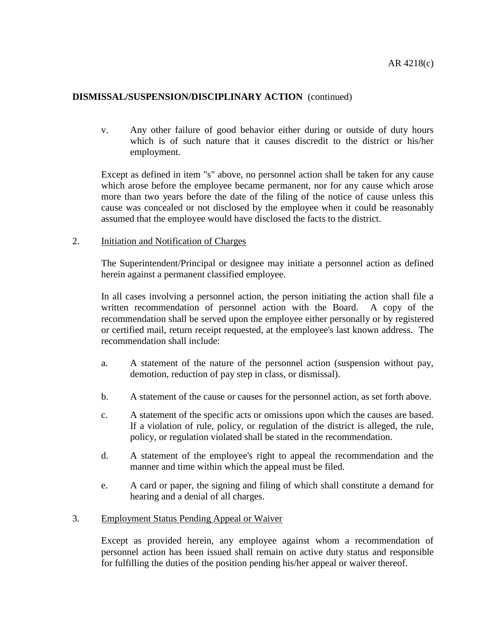v. Any other failure of good behavior either during or outside of duty hours which is of such nature that it causes discredit to the district or his/her employment.

Except as defined in item "s" above, no personnel action shall be taken for any cause which arose before the employee became permanent, nor for any cause which arose more than two years before the date of the filing of the notice of cause unless this cause was concealed or not disclosed by the employee when it could be reasonably assumed that the employee would have disclosed the facts to the district.

2. Initiation and Notification of Charges

The Superintendent/Principal or designee may initiate a personnel action as defined herein against a permanent classified employee.

In all cases involving a personnel action, the person initiating the action shall file a written recommendation of personnel action with the Board. A copy of the recommendation shall be served upon the employee either personally or by registered or certified mail, return receipt requested, at the employee's last known address. The recommendation shall include:

- a. A statement of the nature of the personnel action (suspension without pay, demotion, reduction of pay step in class, or dismissal).
- b. A statement of the cause or causes for the personnel action, as set forth above.
- c. A statement of the specific acts or omissions upon which the causes are based. If a violation of rule, policy, or regulation of the district is alleged, the rule, policy, or regulation violated shall be stated in the recommendation.
- d. A statement of the employee's right to appeal the recommendation and the manner and time within which the appeal must be filed.
- e. A card or paper, the signing and filing of which shall constitute a demand for hearing and a denial of all charges.

### 3. Employment Status Pending Appeal or Waiver

Except as provided herein, any employee against whom a recommendation of personnel action has been issued shall remain on active duty status and responsible for fulfilling the duties of the position pending his/her appeal or waiver thereof.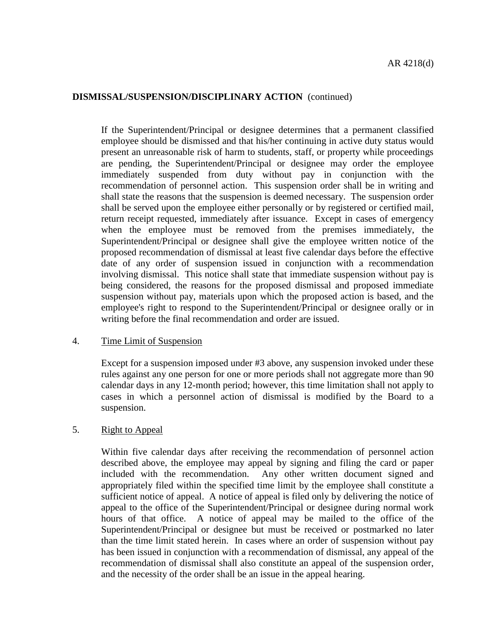If the Superintendent/Principal or designee determines that a permanent classified employee should be dismissed and that his/her continuing in active duty status would present an unreasonable risk of harm to students, staff, or property while proceedings are pending, the Superintendent/Principal or designee may order the employee immediately suspended from duty without pay in conjunction with the recommendation of personnel action. This suspension order shall be in writing and shall state the reasons that the suspension is deemed necessary. The suspension order shall be served upon the employee either personally or by registered or certified mail, return receipt requested, immediately after issuance. Except in cases of emergency when the employee must be removed from the premises immediately, the Superintendent/Principal or designee shall give the employee written notice of the proposed recommendation of dismissal at least five calendar days before the effective date of any order of suspension issued in conjunction with a recommendation involving dismissal. This notice shall state that immediate suspension without pay is being considered, the reasons for the proposed dismissal and proposed immediate suspension without pay, materials upon which the proposed action is based, and the employee's right to respond to the Superintendent/Principal or designee orally or in writing before the final recommendation and order are issued.

### 4. Time Limit of Suspension

Except for a suspension imposed under #3 above, any suspension invoked under these rules against any one person for one or more periods shall not aggregate more than 90 calendar days in any 12-month period; however, this time limitation shall not apply to cases in which a personnel action of dismissal is modified by the Board to a suspension.

### 5. Right to Appeal

Within five calendar days after receiving the recommendation of personnel action described above, the employee may appeal by signing and filing the card or paper included with the recommendation. Any other written document signed and appropriately filed within the specified time limit by the employee shall constitute a sufficient notice of appeal. A notice of appeal is filed only by delivering the notice of appeal to the office of the Superintendent/Principal or designee during normal work hours of that office. A notice of appeal may be mailed to the office of the Superintendent/Principal or designee but must be received or postmarked no later than the time limit stated herein. In cases where an order of suspension without pay has been issued in conjunction with a recommendation of dismissal, any appeal of the recommendation of dismissal shall also constitute an appeal of the suspension order, and the necessity of the order shall be an issue in the appeal hearing.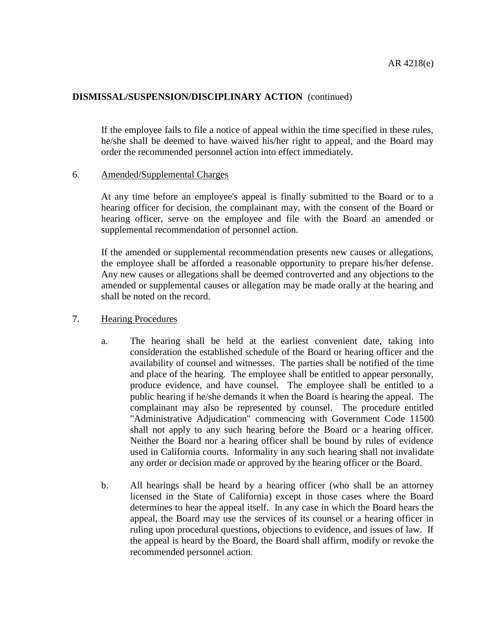If the employee fails to file a notice of appeal within the time specified in these rules, he/she shall be deemed to have waived his/her right to appeal, and the Board may order the recommended personnel action into effect immediately.

#### 6. Amended/Supplemental Charges

At any time before an employee's appeal is finally submitted to the Board or to a hearing officer for decision, the complainant may, with the consent of the Board or hearing officer, serve on the employee and file with the Board an amended or supplemental recommendation of personnel action.

If the amended or supplemental recommendation presents new causes or allegations, the employee shall be afforded a reasonable opportunity to prepare his/her defense. Any new causes or allegations shall be deemed controverted and any objections to the amended or supplemental causes or allegation may be made orally at the hearing and shall be noted on the record.

#### 7. Hearing Procedures

- a. The hearing shall be held at the earliest convenient date, taking into consideration the established schedule of the Board or hearing officer and the availability of counsel and witnesses. The parties shall be notified of the time and place of the hearing. The employee shall be entitled to appear personally, produce evidence, and have counsel. The employee shall be entitled to a public hearing if he/she demands it when the Board is hearing the appeal. The complainant may also be represented by counsel. The procedure entitled "Administrative Adjudication" commencing with Government Code 11500 shall not apply to any such hearing before the Board or a hearing officer. Neither the Board nor a hearing officer shall be bound by rules of evidence used in California courts. Informality in any such hearing shall not invalidate any order or decision made or approved by the hearing officer or the Board.
- b. All hearings shall be heard by a hearing officer (who shall be an attorney licensed in the State of California) except in those cases where the Board determines to hear the appeal itself. In any case in which the Board hears the appeal, the Board may use the services of its counsel or a hearing officer in ruling upon procedural questions, objections to evidence, and issues of law. If the appeal is heard by the Board, the Board shall affirm, modify or revoke the recommended personnel action.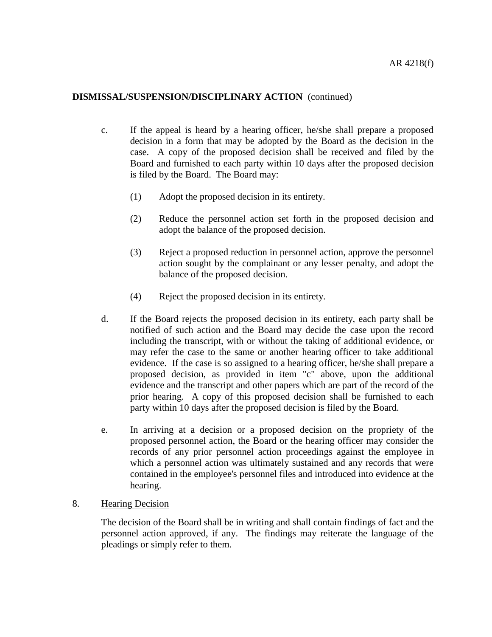- c. If the appeal is heard by a hearing officer, he/she shall prepare a proposed decision in a form that may be adopted by the Board as the decision in the case. A copy of the proposed decision shall be received and filed by the Board and furnished to each party within 10 days after the proposed decision is filed by the Board. The Board may:
	- (1) Adopt the proposed decision in its entirety.
	- (2) Reduce the personnel action set forth in the proposed decision and adopt the balance of the proposed decision.
	- (3) Reject a proposed reduction in personnel action, approve the personnel action sought by the complainant or any lesser penalty, and adopt the balance of the proposed decision.
	- (4) Reject the proposed decision in its entirety.
- d. If the Board rejects the proposed decision in its entirety, each party shall be notified of such action and the Board may decide the case upon the record including the transcript, with or without the taking of additional evidence, or may refer the case to the same or another hearing officer to take additional evidence. If the case is so assigned to a hearing officer, he/she shall prepare a proposed decision, as provided in item "c" above, upon the additional evidence and the transcript and other papers which are part of the record of the prior hearing. A copy of this proposed decision shall be furnished to each party within 10 days after the proposed decision is filed by the Board.
- e. In arriving at a decision or a proposed decision on the propriety of the proposed personnel action, the Board or the hearing officer may consider the records of any prior personnel action proceedings against the employee in which a personnel action was ultimately sustained and any records that were contained in the employee's personnel files and introduced into evidence at the hearing.

### 8. Hearing Decision

The decision of the Board shall be in writing and shall contain findings of fact and the personnel action approved, if any. The findings may reiterate the language of the pleadings or simply refer to them.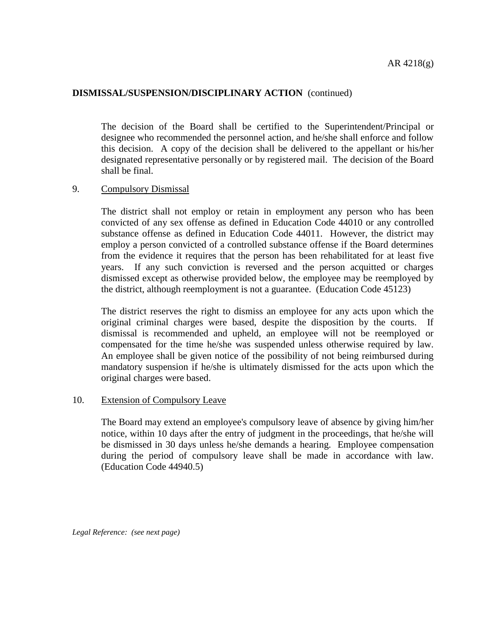The decision of the Board shall be certified to the Superintendent/Principal or designee who recommended the personnel action, and he/she shall enforce and follow this decision. A copy of the decision shall be delivered to the appellant or his/her designated representative personally or by registered mail. The decision of the Board shall be final.

#### 9. Compulsory Dismissal

The district shall not employ or retain in employment any person who has been convicted of any sex offense as defined in Education Code 44010 or any controlled substance offense as defined in Education Code 44011. However, the district may employ a person convicted of a controlled substance offense if the Board determines from the evidence it requires that the person has been rehabilitated for at least five years. If any such conviction is reversed and the person acquitted or charges dismissed except as otherwise provided below, the employee may be reemployed by the district, although reemployment is not a guarantee. (Education Code 45123)

The district reserves the right to dismiss an employee for any acts upon which the original criminal charges were based, despite the disposition by the courts. If dismissal is recommended and upheld, an employee will not be reemployed or compensated for the time he/she was suspended unless otherwise required by law. An employee shall be given notice of the possibility of not being reimbursed during mandatory suspension if he/she is ultimately dismissed for the acts upon which the original charges were based.

#### 10. Extension of Compulsory Leave

The Board may extend an employee's compulsory leave of absence by giving him/her notice, within 10 days after the entry of judgment in the proceedings, that he/she will be dismissed in 30 days unless he/she demands a hearing. Employee compensation during the period of compulsory leave shall be made in accordance with law. (Education Code 44940.5)

*Legal Reference: (see next page)*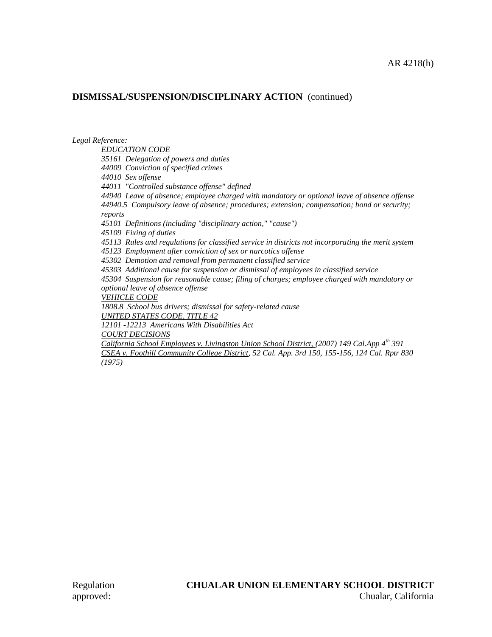*Legal Reference:*

*EDUCATION CODE 35161 Delegation of powers and duties 44009 Conviction of specified crimes 44010 Sex offense 44011 "Controlled substance offense" defined 44940 Leave of absence; employee charged with mandatory or optional leave of absence offense 44940.5 Compulsory leave of absence; procedures; extension; compensation; bond or security; reports 45101 Definitions (including "disciplinary action," "cause") 45109 Fixing of duties 45113 Rules and regulations for classified service in districts not incorporating the merit system 45123 Employment after conviction of sex or narcotics offense 45302 Demotion and removal from permanent classified service 45303 Additional cause for suspension or dismissal of employees in classified service 45304 Suspension for reasonable cause; filing of charges; employee charged with mandatory or optional leave of absence offense VEHICLE CODE 1808.8 School bus drivers; dismissal for safety-related cause UNITED STATES CODE, TITLE 42 12101 -12213 Americans With Disabilities Act COURT DECISIONS California School Employees v. Livingston Union School District, (2007) 149 Cal.App 4th 391 CSEA v. Foothill Community College District, 52 Cal. App. 3rd 150, 155-156, 124 Cal. Rptr 830 (1975)*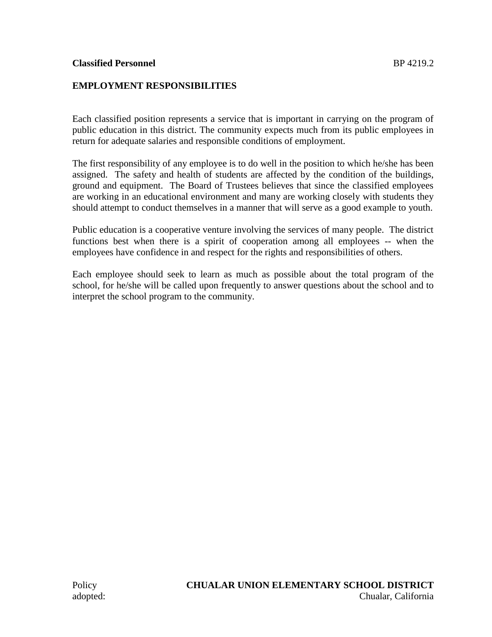## **EMPLOYMENT RESPONSIBILITIES**

Each classified position represents a service that is important in carrying on the program of public education in this district. The community expects much from its public employees in return for adequate salaries and responsible conditions of employment.

The first responsibility of any employee is to do well in the position to which he/she has been assigned. The safety and health of students are affected by the condition of the buildings, ground and equipment. The Board of Trustees believes that since the classified employees are working in an educational environment and many are working closely with students they should attempt to conduct themselves in a manner that will serve as a good example to youth.

Public education is a cooperative venture involving the services of many people. The district functions best when there is a spirit of cooperation among all employees -- when the employees have confidence in and respect for the rights and responsibilities of others.

Each employee should seek to learn as much as possible about the total program of the school, for he/she will be called upon frequently to answer questions about the school and to interpret the school program to the community.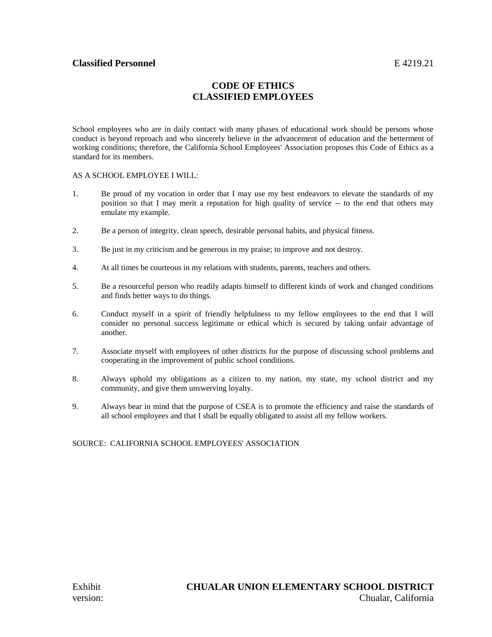### **Classified Personnel** E 4219.21

## **CODE OF ETHICS CLASSIFIED EMPLOYEES**

School employees who are in daily contact with many phases of educational work should be persons whose conduct is beyond reproach and who sincerely believe in the advancement of education and the betterment of working conditions; therefore, the California School Employees' Association proposes this Code of Ethics as a standard for its members.

#### AS A SCHOOL EMPLOYEE I WILL:

- 1. Be proud of my vocation in order that I may use my best endeavors to elevate the standards of my position so that I may merit a reputation for high quality of service -- to the end that others may emulate my example.
- 2. Be a person of integrity, clean speech, desirable personal habits, and physical fitness.
- 3. Be just in my criticism and be generous in my praise; to improve and not destroy.
- 4. At all times be courteous in my relations with students, parents, teachers and others.
- 5. Be a resourceful person who readily adapts himself to different kinds of work and changed conditions and finds better ways to do things.
- 6. Conduct myself in a spirit of friendly helpfulness to my fellow employees to the end that I will consider no personal success legitimate or ethical which is secured by taking unfair advantage of another.
- 7. Associate myself with employees of other districts for the purpose of discussing school problems and cooperating in the improvement of public school conditions.
- 8. Always uphold my obligations as a citizen to my nation, my state, my school district and my community, and give them unswerving loyalty.
- 9. Always bear in mind that the purpose of CSEA is to promote the efficiency and raise the standards of all school employees and that I shall be equally obligated to assist all my fellow workers.

#### SOURCE: CALIFORNIA SCHOOL EMPLOYEES' ASSOCIATION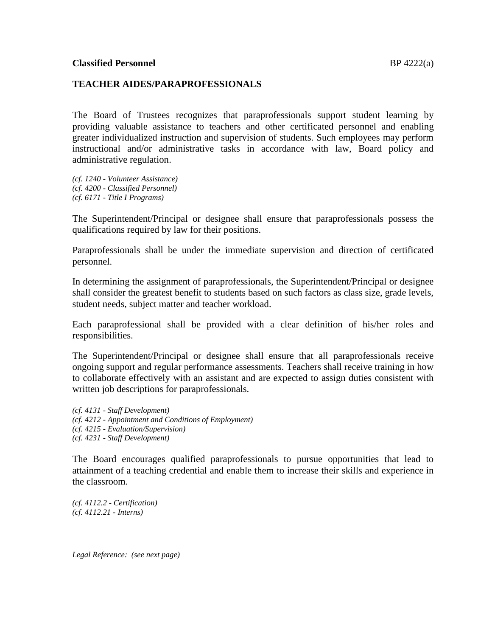### **TEACHER AIDES/PARAPROFESSIONALS**

The Board of Trustees recognizes that paraprofessionals support student learning by providing valuable assistance to teachers and other certificated personnel and enabling greater individualized instruction and supervision of students. Such employees may perform instructional and/or administrative tasks in accordance with law, Board policy and administrative regulation.

*(cf. 1240 - Volunteer Assistance) (cf. 4200 - Classified Personnel) (cf. 6171 - Title I Programs)*

The Superintendent/Principal or designee shall ensure that paraprofessionals possess the qualifications required by law for their positions.

Paraprofessionals shall be under the immediate supervision and direction of certificated personnel.

In determining the assignment of paraprofessionals, the Superintendent/Principal or designee shall consider the greatest benefit to students based on such factors as class size, grade levels, student needs, subject matter and teacher workload.

Each paraprofessional shall be provided with a clear definition of his/her roles and responsibilities.

The Superintendent/Principal or designee shall ensure that all paraprofessionals receive ongoing support and regular performance assessments. Teachers shall receive training in how to collaborate effectively with an assistant and are expected to assign duties consistent with written job descriptions for paraprofessionals.

*(cf. 4131 - Staff Development) (cf. 4212 - Appointment and Conditions of Employment) (cf. 4215 - Evaluation/Supervision) (cf. 4231 - Staff Development)*

The Board encourages qualified paraprofessionals to pursue opportunities that lead to attainment of a teaching credential and enable them to increase their skills and experience in the classroom.

*(cf. 4112.2 - Certification) (cf. 4112.21 - Interns)*

*Legal Reference: (see next page)*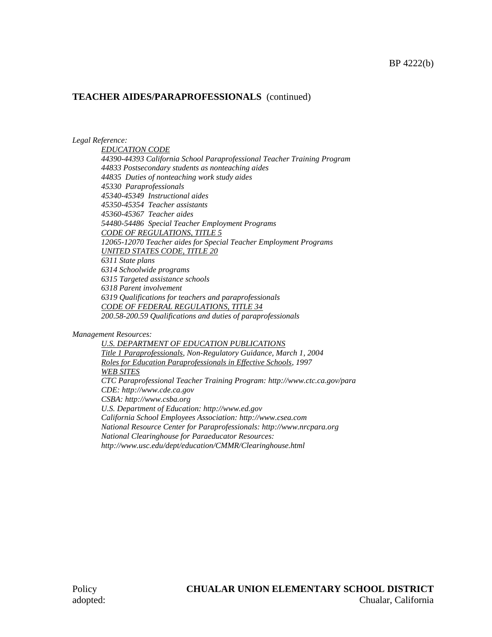#### **TEACHER AIDES/PARAPROFESSIONALS** (continued)

#### *Legal Reference:*

*EDUCATION CODE 44390-44393 California School Paraprofessional Teacher Training Program 44833 Postsecondary students as nonteaching aides 44835 Duties of nonteaching work study aides 45330 Paraprofessionals 45340-45349 Instructional aides 45350-45354 Teacher assistants 45360-45367 Teacher aides 54480-54486 Special Teacher Employment Programs CODE OF REGULATIONS, TITLE 5 12065-12070 Teacher aides for Special Teacher Employment Programs UNITED STATES CODE, TITLE 20 6311 State plans 6314 Schoolwide programs 6315 Targeted assistance schools 6318 Parent involvement 6319 Qualifications for teachers and paraprofessionals CODE OF FEDERAL REGULATIONS, TITLE 34 200.58-200.59 Qualifications and duties of paraprofessionals*

#### *Management Resources:*

*U.S. DEPARTMENT OF EDUCATION PUBLICATIONS Title 1 Paraprofessionals, Non-Regulatory Guidance, March 1, 2004 Roles for Education Paraprofessionals in Effective Schools, 1997 WEB SITES CTC Paraprofessional Teacher Training Program: http://www.ctc.ca.gov/para CDE: http://www.cde.ca.gov CSBA: http://www.csba.org U.S. Department of Education: http://www.ed.gov California School Employees Association: http://www.csea.com National Resource Center for Paraprofessionals: http://www.nrcpara.org National Clearinghouse for Paraeducator Resources: http://www.usc.edu/dept/education/CMMR/Clearinghouse.html*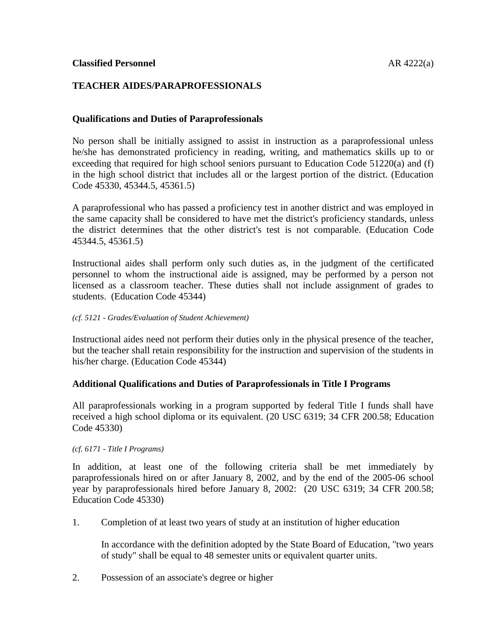## **TEACHER AIDES/PARAPROFESSIONALS**

### **Qualifications and Duties of Paraprofessionals**

No person shall be initially assigned to assist in instruction as a paraprofessional unless he/she has demonstrated proficiency in reading, writing, and mathematics skills up to or exceeding that required for high school seniors pursuant to Education Code 51220(a) and (f) in the high school district that includes all or the largest portion of the district. (Education Code 45330, 45344.5, 45361.5)

A paraprofessional who has passed a proficiency test in another district and was employed in the same capacity shall be considered to have met the district's proficiency standards, unless the district determines that the other district's test is not comparable. (Education Code 45344.5, 45361.5)

Instructional aides shall perform only such duties as, in the judgment of the certificated personnel to whom the instructional aide is assigned, may be performed by a person not licensed as a classroom teacher. These duties shall not include assignment of grades to students. (Education Code 45344)

#### *(cf. 5121 - Grades/Evaluation of Student Achievement)*

Instructional aides need not perform their duties only in the physical presence of the teacher, but the teacher shall retain responsibility for the instruction and supervision of the students in his/her charge. (Education Code 45344)

#### **Additional Qualifications and Duties of Paraprofessionals in Title I Programs**

All paraprofessionals working in a program supported by federal Title I funds shall have received a high school diploma or its equivalent. (20 USC 6319; 34 CFR 200.58; Education Code 45330)

#### *(cf. 6171 - Title I Programs)*

In addition, at least one of the following criteria shall be met immediately by paraprofessionals hired on or after January 8, 2002, and by the end of the 2005-06 school year by paraprofessionals hired before January 8, 2002: (20 USC 6319; 34 CFR 200.58; Education Code 45330)

1. Completion of at least two years of study at an institution of higher education

In accordance with the definition adopted by the State Board of Education, "two years of study" shall be equal to 48 semester units or equivalent quarter units.

2. Possession of an associate's degree or higher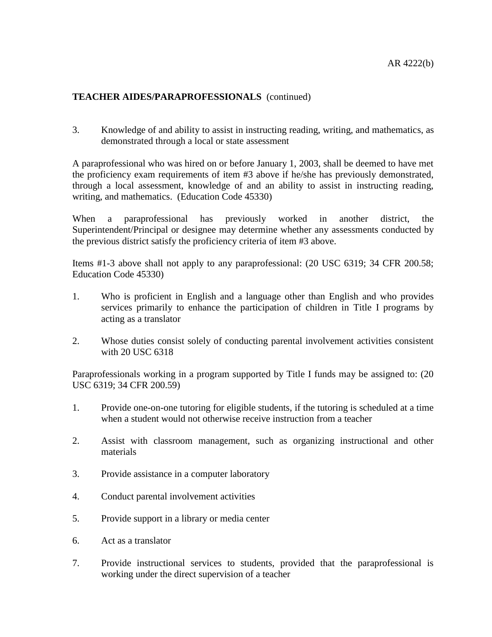## **TEACHER AIDES/PARAPROFESSIONALS** (continued)

3. Knowledge of and ability to assist in instructing reading, writing, and mathematics, as demonstrated through a local or state assessment

A paraprofessional who was hired on or before January 1, 2003, shall be deemed to have met the proficiency exam requirements of item #3 above if he/she has previously demonstrated, through a local assessment, knowledge of and an ability to assist in instructing reading, writing, and mathematics. (Education Code 45330)

When a paraprofessional has previously worked in another district, the Superintendent/Principal or designee may determine whether any assessments conducted by the previous district satisfy the proficiency criteria of item #3 above.

Items #1-3 above shall not apply to any paraprofessional: (20 USC 6319; 34 CFR 200.58; Education Code 45330)

- 1. Who is proficient in English and a language other than English and who provides services primarily to enhance the participation of children in Title I programs by acting as a translator
- 2. Whose duties consist solely of conducting parental involvement activities consistent with 20 USC 6318

Paraprofessionals working in a program supported by Title I funds may be assigned to: (20 USC 6319; 34 CFR 200.59)

- 1. Provide one-on-one tutoring for eligible students, if the tutoring is scheduled at a time when a student would not otherwise receive instruction from a teacher
- 2. Assist with classroom management, such as organizing instructional and other materials
- 3. Provide assistance in a computer laboratory
- 4. Conduct parental involvement activities
- 5. Provide support in a library or media center
- 6. Act as a translator
- 7. Provide instructional services to students, provided that the paraprofessional is working under the direct supervision of a teacher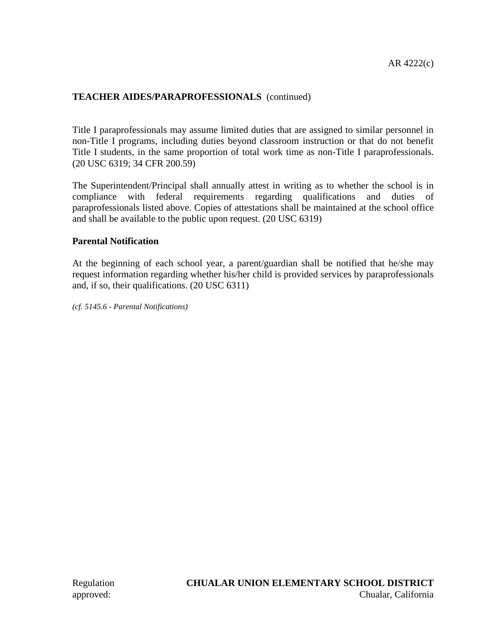## **TEACHER AIDES/PARAPROFESSIONALS** (continued)

Title I paraprofessionals may assume limited duties that are assigned to similar personnel in non-Title I programs, including duties beyond classroom instruction or that do not benefit Title I students, in the same proportion of total work time as non-Title I paraprofessionals. (20 USC 6319; 34 CFR 200.59)

The Superintendent/Principal shall annually attest in writing as to whether the school is in compliance with federal requirements regarding qualifications and duties of paraprofessionals listed above. Copies of attestations shall be maintained at the school office and shall be available to the public upon request. (20 USC 6319)

## **Parental Notification**

At the beginning of each school year, a parent/guardian shall be notified that he/she may request information regarding whether his/her child is provided services by paraprofessionals and, if so, their qualifications. (20 USC 6311)

*(cf. 5145.6 - Parental Notifications)*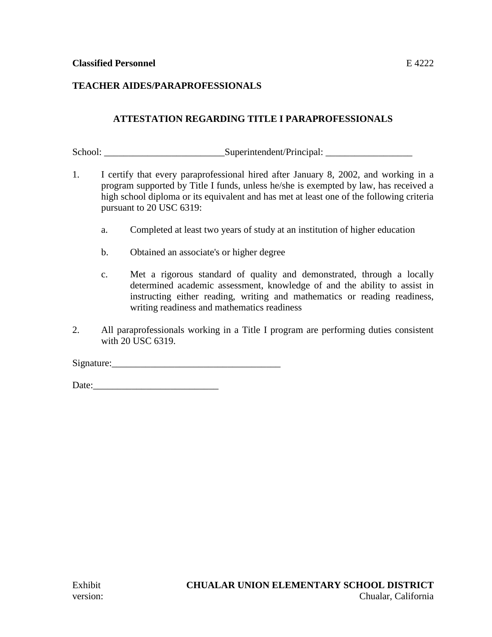## **TEACHER AIDES/PARAPROFESSIONALS**

## **ATTESTATION REGARDING TITLE I PARAPROFESSIONALS**

School: \_\_\_\_\_\_\_\_\_\_\_\_\_\_\_\_\_\_\_\_\_\_\_\_\_Superintendent/Principal: \_\_\_\_\_\_\_\_\_\_\_\_\_\_\_\_\_\_

- 1. I certify that every paraprofessional hired after January 8, 2002, and working in a program supported by Title I funds, unless he/she is exempted by law, has received a high school diploma or its equivalent and has met at least one of the following criteria pursuant to 20 USC 6319:
	- a. Completed at least two years of study at an institution of higher education
	- b. Obtained an associate's or higher degree
	- c. Met a rigorous standard of quality and demonstrated, through a locally determined academic assessment, knowledge of and the ability to assist in instructing either reading, writing and mathematics or reading readiness, writing readiness and mathematics readiness
- 2. All paraprofessionals working in a Title I program are performing duties consistent with 20 USC 6319.

Signature:

Date: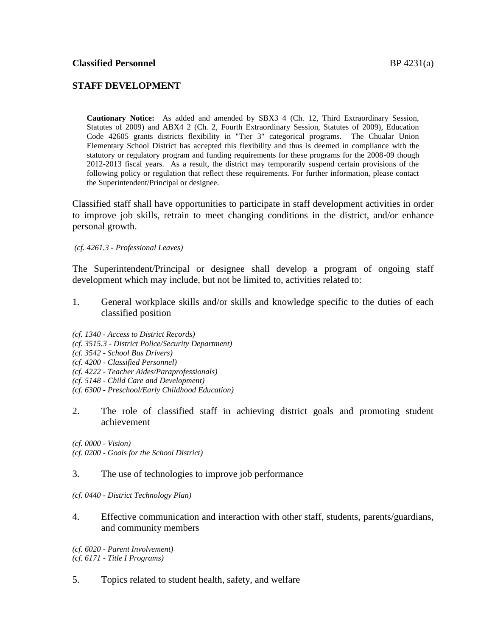### **STAFF DEVELOPMENT**

**Cautionary Notice:** As added and amended by SBX3 4 (Ch. 12, Third Extraordinary Session, Statutes of 2009) and ABX4 2 (Ch. 2, Fourth Extraordinary Session, Statutes of 2009), Education Code 42605 grants districts flexibility in "Tier 3" categorical programs. The Chualar Union Elementary School District has accepted this flexibility and thus is deemed in compliance with the statutory or regulatory program and funding requirements for these programs for the 2008-09 though 2012-2013 fiscal years. As a result, the district may temporarily suspend certain provisions of the following policy or regulation that reflect these requirements. For further information, please contact the Superintendent/Principal or designee.

Classified staff shall have opportunities to participate in staff development activities in order to improve job skills, retrain to meet changing conditions in the district, and/or enhance personal growth.

*(cf. 4261.3 - Professional Leaves)*

The Superintendent/Principal or designee shall develop a program of ongoing staff development which may include, but not be limited to, activities related to:

- 1. General workplace skills and/or skills and knowledge specific to the duties of each classified position
- *(cf. 1340 - Access to District Records)*
- *(cf. 3515.3 - District Police/Security Department)*
- *(cf. 3542 - School Bus Drivers)*
- *(cf. 4200 - Classified Personnel)*
- *(cf. 4222 - Teacher Aides/Paraprofessionals)*
- *(cf. 5148 - Child Care and Development)*
- *(cf. 6300 - Preschool/Early Childhood Education)*
- 2. The role of classified staff in achieving district goals and promoting student achievement

*(cf. 0000 - Vision) (cf. 0200 - Goals for the School District)*

#### 3. The use of technologies to improve job performance

- *(cf. 0440 - District Technology Plan)*
- 4. Effective communication and interaction with other staff, students, parents/guardians, and community members

*(cf. 6020 - Parent Involvement) (cf. 6171 - Title I Programs)*

5. Topics related to student health, safety, and welfare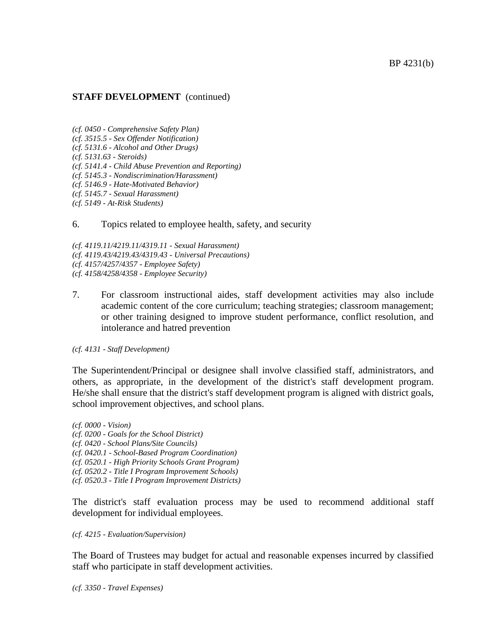#### BP 4231(b)

#### **STAFF DEVELOPMENT** (continued)

*(cf. 0450 - Comprehensive Safety Plan)*

- *(cf. 3515.5 - Sex Offender Notification)*
- *(cf. 5131.6 - Alcohol and Other Drugs)*

*(cf. 5131.63 - Steroids)*

*(cf. 5141.4 - Child Abuse Prevention and Reporting)*

*(cf. 5145.3 - Nondiscrimination/Harassment)*

*(cf. 5146.9 - Hate-Motivated Behavior)*

*(cf. 5145.7 - Sexual Harassment)*

*(cf. 5149 - At-Risk Students)*

#### 6. Topics related to employee health, safety, and security

*(cf. 4119.11/4219.11/4319.11 - Sexual Harassment) (cf. 4119.43/4219.43/4319.43 - Universal Precautions) (cf. 4157/4257/4357 - Employee Safety) (cf. 4158/4258/4358 - Employee Security)*

7. For classroom instructional aides, staff development activities may also include academic content of the core curriculum; teaching strategies; classroom management; or other training designed to improve student performance, conflict resolution, and intolerance and hatred prevention

#### *(cf. 4131 - Staff Development)*

The Superintendent/Principal or designee shall involve classified staff, administrators, and others, as appropriate, in the development of the district's staff development program. He/she shall ensure that the district's staff development program is aligned with district goals, school improvement objectives, and school plans.

*(cf. 0000 - Vision) (cf. 0200 - Goals for the School District) (cf. 0420 - School Plans/Site Councils) (cf. 0420.1 - School-Based Program Coordination) (cf. 0520.1 - High Priority Schools Grant Program) (cf. 0520.2 - Title I Program Improvement Schools) (cf. 0520.3 - Title I Program Improvement Districts)*

The district's staff evaluation process may be used to recommend additional staff development for individual employees.

#### *(cf. 4215 - Evaluation/Supervision)*

The Board of Trustees may budget for actual and reasonable expenses incurred by classified staff who participate in staff development activities.

*(cf. 3350 - Travel Expenses)*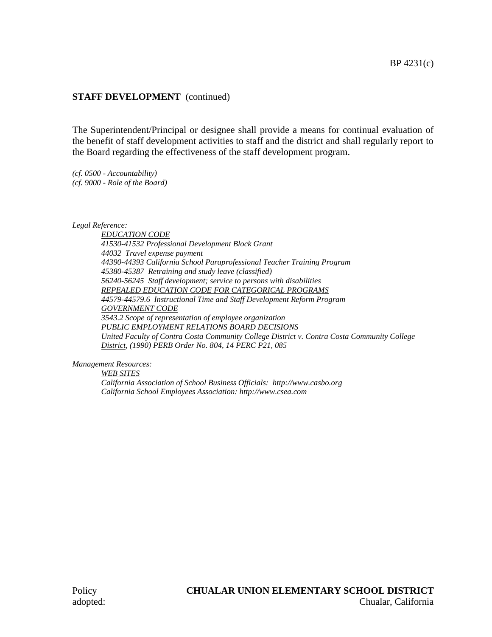### **STAFF DEVELOPMENT** (continued)

The Superintendent/Principal or designee shall provide a means for continual evaluation of the benefit of staff development activities to staff and the district and shall regularly report to the Board regarding the effectiveness of the staff development program.

*(cf. 0500 - Accountability) (cf. 9000 - Role of the Board)*

*Legal Reference:*

*EDUCATION CODE 41530-41532 Professional Development Block Grant 44032 Travel expense payment 44390-44393 California School Paraprofessional Teacher Training Program 45380-45387 Retraining and study leave (classified) 56240-56245 Staff development; service to persons with disabilities REPEALED EDUCATION CODE FOR CATEGORICAL PROGRAMS 44579-44579.6 Instructional Time and Staff Development Reform Program GOVERNMENT CODE 3543.2 Scope of representation of employee organization PUBLIC EMPLOYMENT RELATIONS BOARD DECISIONS United Faculty of Contra Costa Community College District v. Contra Costa Community College District, (1990) PERB Order No. 804, 14 PERC P21, 085*

*Management Resources:*

*WEB SITES California Association of School Business Officials: http://www.casbo.org California School Employees Association: http://www.csea.com*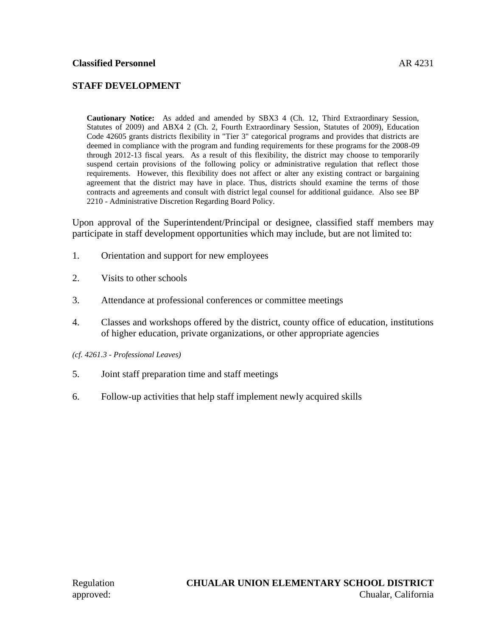## **STAFF DEVELOPMENT**

**Cautionary Notice:** As added and amended by SBX3 4 (Ch. 12, Third Extraordinary Session, Statutes of 2009) and ABX4 2 (Ch. 2, Fourth Extraordinary Session, Statutes of 2009), Education Code 42605 grants districts flexibility in "Tier 3" categorical programs and provides that districts are deemed in compliance with the program and funding requirements for these programs for the 2008-09 through 2012-13 fiscal years. As a result of this flexibility, the district may choose to temporarily suspend certain provisions of the following policy or administrative regulation that reflect those requirements. However, this flexibility does not affect or alter any existing contract or bargaining agreement that the district may have in place. Thus, districts should examine the terms of those contracts and agreements and consult with district legal counsel for additional guidance. Also see BP 2210 - Administrative Discretion Regarding Board Policy.

Upon approval of the Superintendent/Principal or designee, classified staff members may participate in staff development opportunities which may include, but are not limited to:

- 1. Orientation and support for new employees
- 2. Visits to other schools
- 3. Attendance at professional conferences or committee meetings
- 4. Classes and workshops offered by the district, county office of education, institutions of higher education, private organizations, or other appropriate agencies
- *(cf. 4261.3 - Professional Leaves)*
- 5. Joint staff preparation time and staff meetings
- 6. Follow-up activities that help staff implement newly acquired skills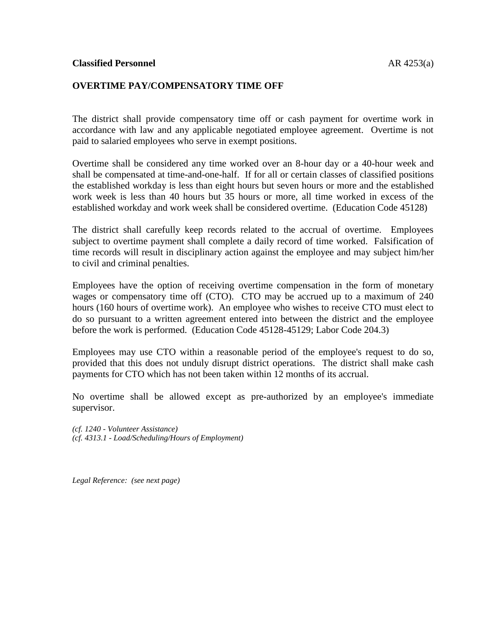#### **OVERTIME PAY/COMPENSATORY TIME OFF**

The district shall provide compensatory time off or cash payment for overtime work in accordance with law and any applicable negotiated employee agreement. Overtime is not paid to salaried employees who serve in exempt positions.

Overtime shall be considered any time worked over an 8-hour day or a 40-hour week and shall be compensated at time-and-one-half. If for all or certain classes of classified positions the established workday is less than eight hours but seven hours or more and the established work week is less than 40 hours but 35 hours or more, all time worked in excess of the established workday and work week shall be considered overtime. (Education Code 45128)

The district shall carefully keep records related to the accrual of overtime. Employees subject to overtime payment shall complete a daily record of time worked. Falsification of time records will result in disciplinary action against the employee and may subject him/her to civil and criminal penalties.

Employees have the option of receiving overtime compensation in the form of monetary wages or compensatory time off (CTO). CTO may be accrued up to a maximum of 240 hours (160 hours of overtime work). An employee who wishes to receive CTO must elect to do so pursuant to a written agreement entered into between the district and the employee before the work is performed. (Education Code 45128-45129; Labor Code 204.3)

Employees may use CTO within a reasonable period of the employee's request to do so, provided that this does not unduly disrupt district operations. The district shall make cash payments for CTO which has not been taken within 12 months of its accrual.

No overtime shall be allowed except as pre-authorized by an employee's immediate supervisor.

*(cf. 1240 - Volunteer Assistance) (cf. 4313.1 - Load/Scheduling/Hours of Employment)*

*Legal Reference: (see next page)*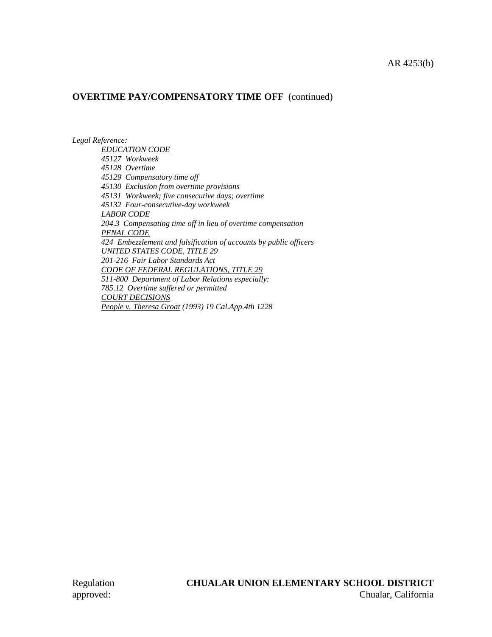### **OVERTIME PAY/COMPENSATORY TIME OFF** (continued)

*Legal Reference:*

*EDUCATION CODE 45127 Workweek 45128 Overtime 45129 Compensatory time off 45130 Exclusion from overtime provisions 45131 Workweek; five consecutive days; overtime 45132 Four-consecutive-day workweek LABOR CODE 204.3 Compensating time off in lieu of overtime compensation PENAL CODE 424 Embezzlement and falsification of accounts by public officers UNITED STATES CODE, TITLE 29 201-216 Fair Labor Standards Act CODE OF FEDERAL REGULATIONS, TITLE 29 511-800 Department of Labor Relations especially: 785.12 Overtime suffered or permitted COURT DECISIONS People v. Theresa Groat (1993) 19 Cal.App.4th 1228*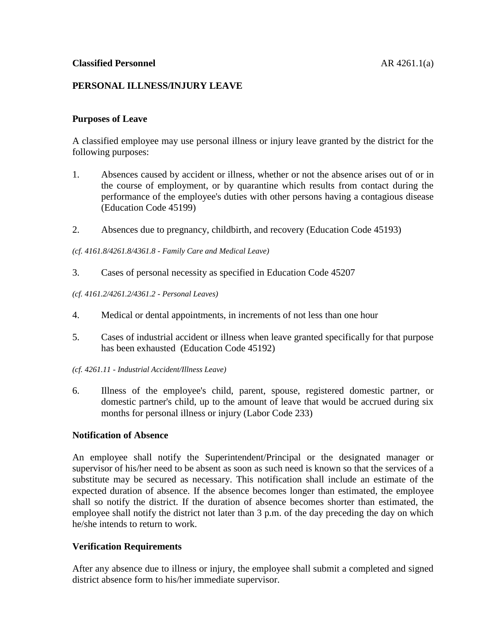## **PERSONAL ILLNESS/INJURY LEAVE**

### **Purposes of Leave**

A classified employee may use personal illness or injury leave granted by the district for the following purposes:

- 1. Absences caused by accident or illness, whether or not the absence arises out of or in the course of employment, or by quarantine which results from contact during the performance of the employee's duties with other persons having a contagious disease (Education Code 45199)
- 2. Absences due to pregnancy, childbirth, and recovery (Education Code 45193)

*(cf. 4161.8/4261.8/4361.8 - Family Care and Medical Leave)*

- 3. Cases of personal necessity as specified in Education Code 45207
- *(cf. 4161.2/4261.2/4361.2 - Personal Leaves)*
- 4. Medical or dental appointments, in increments of not less than one hour
- 5. Cases of industrial accident or illness when leave granted specifically for that purpose has been exhausted (Education Code 45192)
- *(cf. 4261.11 - Industrial Accident/Illness Leave)*
- 6. Illness of the employee's child, parent, spouse, registered domestic partner, or domestic partner's child, up to the amount of leave that would be accrued during six months for personal illness or injury (Labor Code 233)

### **Notification of Absence**

An employee shall notify the Superintendent/Principal or the designated manager or supervisor of his/her need to be absent as soon as such need is known so that the services of a substitute may be secured as necessary. This notification shall include an estimate of the expected duration of absence. If the absence becomes longer than estimated, the employee shall so notify the district. If the duration of absence becomes shorter than estimated, the employee shall notify the district not later than 3 p.m. of the day preceding the day on which he/she intends to return to work.

## **Verification Requirements**

After any absence due to illness or injury, the employee shall submit a completed and signed district absence form to his/her immediate supervisor.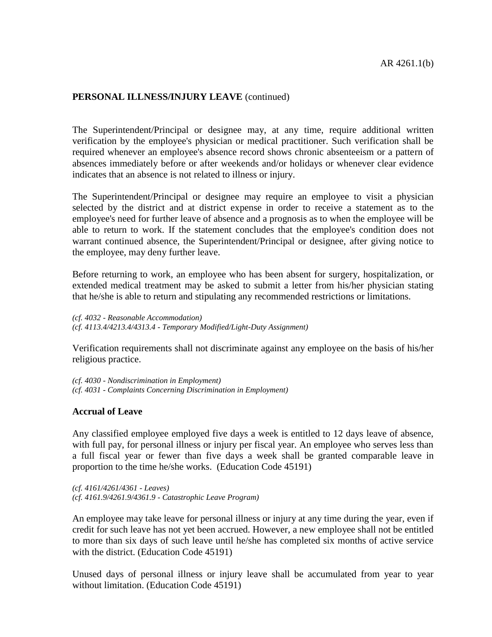#### **PERSONAL ILLNESS/INJURY LEAVE** (continued)

The Superintendent/Principal or designee may, at any time, require additional written verification by the employee's physician or medical practitioner. Such verification shall be required whenever an employee's absence record shows chronic absenteeism or a pattern of absences immediately before or after weekends and/or holidays or whenever clear evidence indicates that an absence is not related to illness or injury.

The Superintendent/Principal or designee may require an employee to visit a physician selected by the district and at district expense in order to receive a statement as to the employee's need for further leave of absence and a prognosis as to when the employee will be able to return to work. If the statement concludes that the employee's condition does not warrant continued absence, the Superintendent/Principal or designee, after giving notice to the employee, may deny further leave.

Before returning to work, an employee who has been absent for surgery, hospitalization, or extended medical treatment may be asked to submit a letter from his/her physician stating that he/she is able to return and stipulating any recommended restrictions or limitations.

*(cf. 4032 - Reasonable Accommodation) (cf. 4113.4/4213.4/4313.4 - Temporary Modified/Light-Duty Assignment)*

Verification requirements shall not discriminate against any employee on the basis of his/her religious practice.

*(cf. 4030 - Nondiscrimination in Employment) (cf. 4031 - Complaints Concerning Discrimination in Employment)*

### **Accrual of Leave**

Any classified employee employed five days a week is entitled to 12 days leave of absence, with full pay, for personal illness or injury per fiscal year. An employee who serves less than a full fiscal year or fewer than five days a week shall be granted comparable leave in proportion to the time he/she works. (Education Code 45191)

*(cf. 4161/4261/4361 - Leaves) (cf. 4161.9/4261.9/4361.9 - Catastrophic Leave Program)*

An employee may take leave for personal illness or injury at any time during the year, even if credit for such leave has not yet been accrued. However, a new employee shall not be entitled to more than six days of such leave until he/she has completed six months of active service with the district. (Education Code 45191)

Unused days of personal illness or injury leave shall be accumulated from year to year without limitation. (Education Code 45191)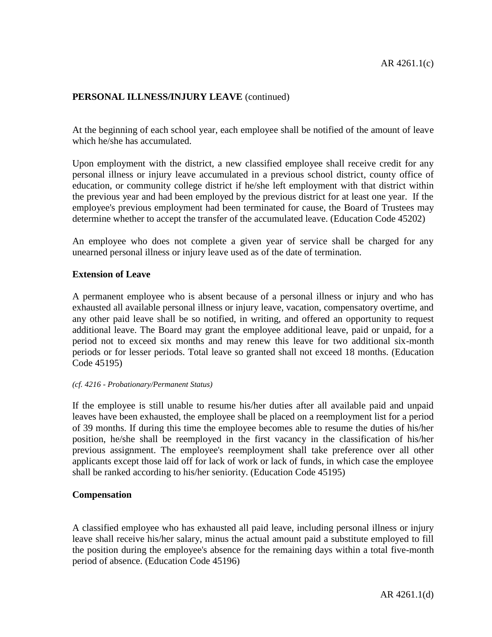## **PERSONAL ILLNESS/INJURY LEAVE** (continued)

At the beginning of each school year, each employee shall be notified of the amount of leave which he/she has accumulated.

Upon employment with the district, a new classified employee shall receive credit for any personal illness or injury leave accumulated in a previous school district, county office of education, or community college district if he/she left employment with that district within the previous year and had been employed by the previous district for at least one year. If the employee's previous employment had been terminated for cause, the Board of Trustees may determine whether to accept the transfer of the accumulated leave. (Education Code 45202)

An employee who does not complete a given year of service shall be charged for any unearned personal illness or injury leave used as of the date of termination.

#### **Extension of Leave**

A permanent employee who is absent because of a personal illness or injury and who has exhausted all available personal illness or injury leave, vacation, compensatory overtime, and any other paid leave shall be so notified, in writing, and offered an opportunity to request additional leave. The Board may grant the employee additional leave, paid or unpaid, for a period not to exceed six months and may renew this leave for two additional six-month periods or for lesser periods. Total leave so granted shall not exceed 18 months. (Education Code 45195)

#### *(cf. 4216 - Probationary/Permanent Status)*

If the employee is still unable to resume his/her duties after all available paid and unpaid leaves have been exhausted, the employee shall be placed on a reemployment list for a period of 39 months. If during this time the employee becomes able to resume the duties of his/her position, he/she shall be reemployed in the first vacancy in the classification of his/her previous assignment. The employee's reemployment shall take preference over all other applicants except those laid off for lack of work or lack of funds, in which case the employee shall be ranked according to his/her seniority. (Education Code 45195)

#### **Compensation**

A classified employee who has exhausted all paid leave, including personal illness or injury leave shall receive his/her salary, minus the actual amount paid a substitute employed to fill the position during the employee's absence for the remaining days within a total five-month period of absence. (Education Code 45196)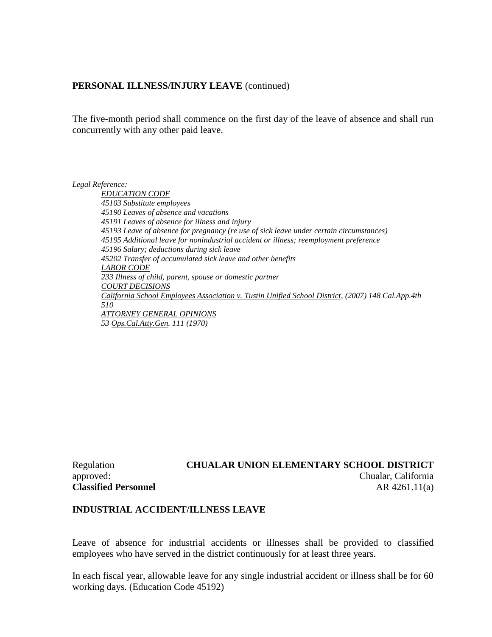#### **PERSONAL ILLNESS/INJURY LEAVE** (continued)

The five-month period shall commence on the first day of the leave of absence and shall run concurrently with any other paid leave.

*Legal Reference:*

*EDUCATION CODE 45103 Substitute employees 45190 Leaves of absence and vacations 45191 Leaves of absence for illness and injury 45193 Leave of absence for pregnancy (re use of sick leave under certain circumstances) 45195 Additional leave for nonindustrial accident or illness; reemployment preference 45196 Salary; deductions during sick leave 45202 Transfer of accumulated sick leave and other benefits LABOR CODE 233 Illness of child, parent, spouse or domestic partner COURT DECISIONS California School Employees Association v. Tustin Unified School District, (2007) 148 Cal.App.4th 510 ATTORNEY GENERAL OPINIONS 53 Ops.Cal.Atty.Gen. 111 (1970)*

## Regulation **CHUALAR UNION ELEMENTARY SCHOOL DISTRICT** approved: Chualar, California **Classified Personnel** AR 4261.11(a)

### **INDUSTRIAL ACCIDENT/ILLNESS LEAVE**

Leave of absence for industrial accidents or illnesses shall be provided to classified employees who have served in the district continuously for at least three years.

In each fiscal year, allowable leave for any single industrial accident or illness shall be for 60 working days. (Education Code 45192)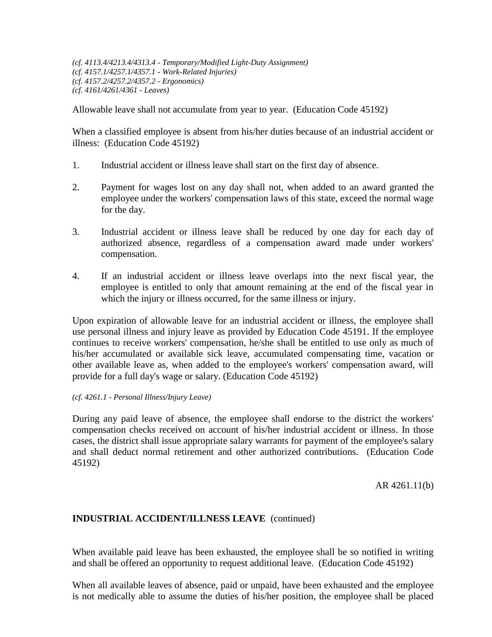*(cf. 4113.4/4213.4/4313.4 - Temporary/Modified Light-Duty Assignment) (cf. 4157.1/4257.1/4357.1 - Work-Related Injuries) (cf. 4157.2/4257.2/4357.2 - Ergonomics) (cf. 4161/4261/4361 - Leaves)*

Allowable leave shall not accumulate from year to year. (Education Code 45192)

When a classified employee is absent from his/her duties because of an industrial accident or illness: (Education Code 45192)

- 1. Industrial accident or illness leave shall start on the first day of absence.
- 2. Payment for wages lost on any day shall not, when added to an award granted the employee under the workers' compensation laws of this state, exceed the normal wage for the day.
- 3. Industrial accident or illness leave shall be reduced by one day for each day of authorized absence, regardless of a compensation award made under workers' compensation.
- 4. If an industrial accident or illness leave overlaps into the next fiscal year, the employee is entitled to only that amount remaining at the end of the fiscal year in which the injury or illness occurred, for the same illness or injury.

Upon expiration of allowable leave for an industrial accident or illness, the employee shall use personal illness and injury leave as provided by Education Code 45191. If the employee continues to receive workers' compensation, he/she shall be entitled to use only as much of his/her accumulated or available sick leave, accumulated compensating time, vacation or other available leave as, when added to the employee's workers' compensation award, will provide for a full day's wage or salary. (Education Code 45192)

#### *(cf. 4261.1 - Personal Illness/Injury Leave)*

During any paid leave of absence, the employee shall endorse to the district the workers' compensation checks received on account of his/her industrial accident or illness. In those cases, the district shall issue appropriate salary warrants for payment of the employee's salary and shall deduct normal retirement and other authorized contributions. (Education Code 45192)

AR 4261.11(b)

### **INDUSTRIAL ACCIDENT/ILLNESS LEAVE** (continued)

When available paid leave has been exhausted, the employee shall be so notified in writing and shall be offered an opportunity to request additional leave. (Education Code 45192)

When all available leaves of absence, paid or unpaid, have been exhausted and the employee is not medically able to assume the duties of his/her position, the employee shall be placed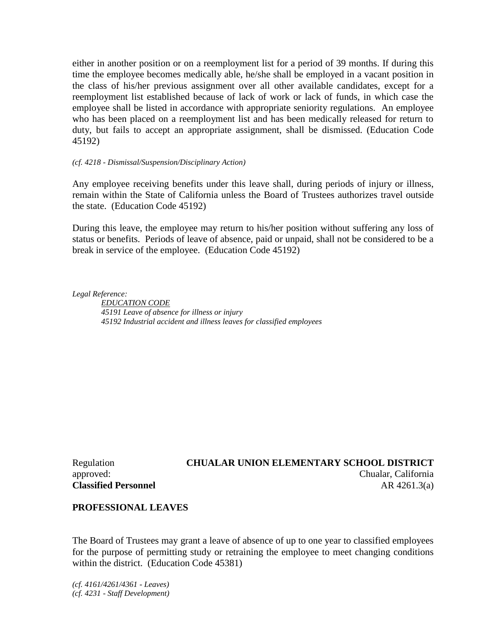either in another position or on a reemployment list for a period of 39 months. If during this time the employee becomes medically able, he/she shall be employed in a vacant position in the class of his/her previous assignment over all other available candidates, except for a reemployment list established because of lack of work or lack of funds, in which case the employee shall be listed in accordance with appropriate seniority regulations. An employee who has been placed on a reemployment list and has been medically released for return to duty, but fails to accept an appropriate assignment, shall be dismissed. (Education Code 45192)

#### *(cf. 4218 - Dismissal/Suspension/Disciplinary Action)*

Any employee receiving benefits under this leave shall, during periods of injury or illness, remain within the State of California unless the Board of Trustees authorizes travel outside the state. (Education Code 45192)

During this leave, the employee may return to his/her position without suffering any loss of status or benefits. Periods of leave of absence, paid or unpaid, shall not be considered to be a break in service of the employee. (Education Code 45192)

*Legal Reference:*

*EDUCATION CODE 45191 Leave of absence for illness or injury 45192 Industrial accident and illness leaves for classified employees*

**Classified Personnel** AR 4261.3(a)

# Regulation **CHUALAR UNION ELEMENTARY SCHOOL DISTRICT** approved: Chualar, California

### **PROFESSIONAL LEAVES**

The Board of Trustees may grant a leave of absence of up to one year to classified employees for the purpose of permitting study or retraining the employee to meet changing conditions within the district. (Education Code 45381)

*(cf. 4161/4261/4361 - Leaves) (cf. 4231 - Staff Development)*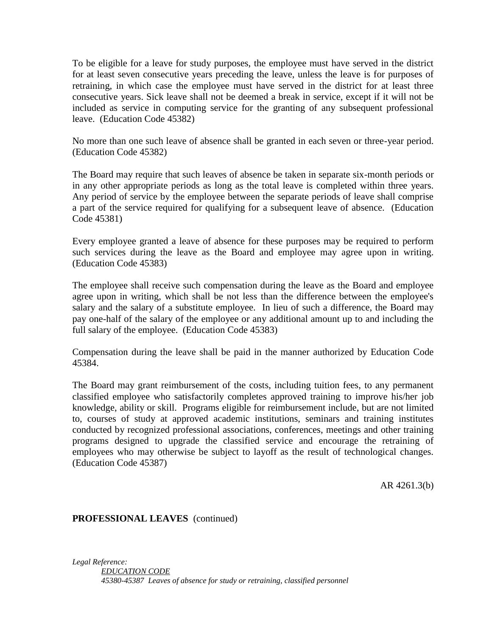To be eligible for a leave for study purposes, the employee must have served in the district for at least seven consecutive years preceding the leave, unless the leave is for purposes of retraining, in which case the employee must have served in the district for at least three consecutive years. Sick leave shall not be deemed a break in service, except if it will not be included as service in computing service for the granting of any subsequent professional leave. (Education Code 45382)

No more than one such leave of absence shall be granted in each seven or three-year period. (Education Code 45382)

The Board may require that such leaves of absence be taken in separate six-month periods or in any other appropriate periods as long as the total leave is completed within three years. Any period of service by the employee between the separate periods of leave shall comprise a part of the service required for qualifying for a subsequent leave of absence. (Education Code 45381)

Every employee granted a leave of absence for these purposes may be required to perform such services during the leave as the Board and employee may agree upon in writing. (Education Code 45383)

The employee shall receive such compensation during the leave as the Board and employee agree upon in writing, which shall be not less than the difference between the employee's salary and the salary of a substitute employee. In lieu of such a difference, the Board may pay one-half of the salary of the employee or any additional amount up to and including the full salary of the employee. (Education Code 45383)

Compensation during the leave shall be paid in the manner authorized by Education Code 45384.

The Board may grant reimbursement of the costs, including tuition fees, to any permanent classified employee who satisfactorily completes approved training to improve his/her job knowledge, ability or skill. Programs eligible for reimbursement include, but are not limited to, courses of study at approved academic institutions, seminars and training institutes conducted by recognized professional associations, conferences, meetings and other training programs designed to upgrade the classified service and encourage the retraining of employees who may otherwise be subject to layoff as the result of technological changes. (Education Code 45387)

AR 4261.3(b)

### **PROFESSIONAL LEAVES** (continued)

*Legal Reference: EDUCATION CODE 45380-45387 Leaves of absence for study or retraining, classified personnel*